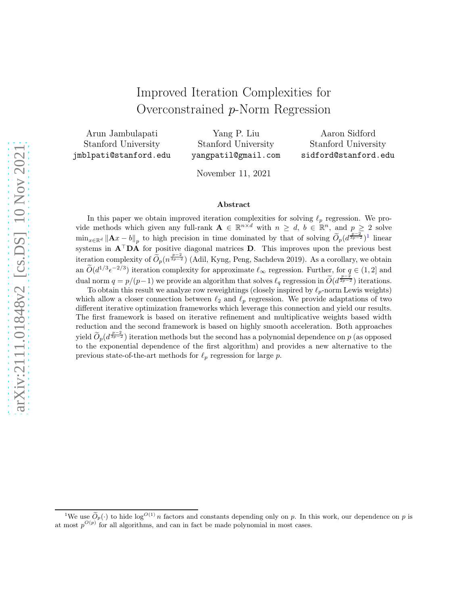# Improved Iteration Complexities for Overconstrained p-Norm Regression

Arun Jambulapati Stanford University jmblpati@stanford.edu

Yang P. Liu Stanford University yangpatil@gmail.com

Aaron Sidford Stanford University sidford@stanford.edu

November 11, 2021

#### Abstract

In this paper we obtain improved iteration complexities for solving  $\ell_p$  regression. We provide methods which given any full-rank  $A \in \mathbb{R}^{n \times d}$  with  $n \geq d$ ,  $b \in \mathbb{R}^n$ , and  $p \geq 2$  solve  $\min_{x \in \mathbb{R}^d} ||\mathbf{A}x - b||_p$  to high precision in time dominated by that of solving  $\widetilde{O}_p(d^{\frac{p-2}{3p-2}})^1$  $\widetilde{O}_p(d^{\frac{p-2}{3p-2}})^1$  linear systems in A<sup>⊤</sup>DA for positive diagonal matrices D. This improves upon the previous best iteration complexity of  $\tilde{O}_p(n^{\frac{p-2}{3p-2}})$  (Adil, Kyng, Peng, Sachdeva 2019). As a corollary, we obtain an  $\tilde{O}(d^{1/3} \epsilon^{-2/3})$  iteration complexity for approximate  $\ell_{\infty}$  regression. Further, for  $q \in (1, 2]$  and dual norm  $q = p/(p-1)$  we provide an algorithm that solves  $\ell_q$  regression in  $\widetilde{O}(d^{\frac{p-2}{2p-2}})$  iterations.

To obtain this result we analyze row reweightings (closely inspired by  $\ell_p$ -norm Lewis weights) which allow a closer connection between  $\ell_2$  and  $\ell_p$  regression. We provide adaptations of two different iterative optimization frameworks which leverage this connection and yield our results. The first framework is based on iterative refinement and multiplicative weights based width reduction and the second framework is based on highly smooth acceleration. Both approaches yield  $\widetilde{O}_p(d^{\frac{p-2}{3p-2}})$  iteration methods but the second has a polynomial dependence on p (as opposed to the exponential dependence of the first algorithm) and provides a new alternative to the previous state-of-the-art methods for  $\ell_p$  regression for large p.

<span id="page-0-0"></span><sup>&</sup>lt;sup>1</sup>We use  $\widetilde{O}_p(\cdot)$  to hide log<sup>O(1)</sup> n factors and constants depending only on p. In this work, our dependence on p is at most  $p^{O(p)}$  for all algorithms, and can in fact be made polynomial in most cases.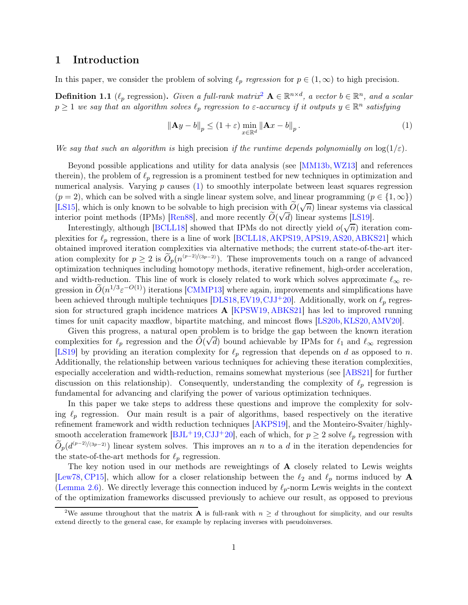## 1 Introduction

In this paper, we consider the problem of solving  $\ell_p$  regression for  $p \in (1,\infty)$  to high precision.

**Definition 1.1** ( $\ell_p$  regression). Given a full-rank matrix<sup>[2](#page-1-0)</sup>  $\mathbf{A} \in \mathbb{R}^{n \times d}$ , a vector  $b \in \mathbb{R}^n$ , and a scalar  $p \geq 1$  we say that an algorithm solves  $\ell_p$  regression to  $\varepsilon$ -accuracy if it outputs  $y \in \mathbb{R}^n$  satisfying

<span id="page-1-1"></span>
$$
\|\mathbf{A}y - b\|_{p} \le (1 + \varepsilon) \min_{x \in \mathbb{R}^d} \|\mathbf{A}x - b\|_{p}.
$$
 (1)

We say that such an algorithm is high precision if the runtime depends polynomially on  $\log(1/\varepsilon)$ .

Beyond possible applications and utility for data analysis (see [\[MM13b,](#page-24-0)[WZ13\]](#page-25-0) and references therein), the problem of  $\ell_p$  regression is a prominent testbed for new techniques in optimization and numerical analysis. Varying  $p$  causes  $(1)$  to smoothly interpolate between least squares regression  $(p = 2)$ , which can be solved with a single linear system solve, and linear programming  $(p \in \{1, \infty\})$ [\[LS15\]](#page-24-1), which is only known to be solvable to high precision with  $\tilde{O}(\sqrt{n})$  linear systems via classical interior point methods (IPMs) [\[Ren88\]](#page-24-2), and more recently  $\tilde{O}(\sqrt{d})$  linear systems [\[LS19\]](#page-24-3).

Interestingly, although [\[BCLL18\]](#page-21-0) showed that IPMs do not directly yield  $o(\sqrt{n})$  iteration complexities for  $\ell_p$  regression, there is a line of work [\[BCLL18,](#page-21-0) [AKPS19,](#page-21-1) [APS19,](#page-21-2) [AS20,](#page-21-3) [ABKS21\]](#page-21-4) which obtained improved iteration complexities via alternative methods; the current state-of-the-art iteration complexity for  $p \geq 2$  is  $\widetilde{O}_p(n^{(p-2)/(3p-2)})$ . These improvements touch on a range of advanced optimization techniques including homotopy methods, iterative refinement, high-order acceleration, and width-reduction. This line of work is closely related to work which solves approximate  $\ell_{\infty}$  regression in  $\tilde{O}(n^{1/3} \varepsilon^{-O(1)})$  iterations [\[CMMP13\]](#page-22-0) where again, improvements and simplifications have been achieved through multiple techniques [\[DLS18,](#page-23-0) [EV19,](#page-23-1) [CJJ](#page-22-1)+20]. Additionally, work on  $\ell_p$  regression for structured graph incidence matrices A [\[KPSW19,](#page-23-2) [ABKS21\]](#page-21-4) has led to improved running times for unit capacity maxflow, bipartite matching, and mincost flows [\[LS20b,](#page-24-4)[KLS20,](#page-23-3)[AMV20\]](#page-21-5).

Given this progress, a natural open problem is to bridge the gap between the known iteration complexities for  $\ell_p$  regression and the  $\tilde{O}(\sqrt{d})$  bound achievable by IPMs for  $\ell_1$  and  $\ell_\infty$  regression [\[LS19\]](#page-24-3) by providing an iteration complexity for  $\ell_p$  regression that depends on d as opposed to n. Additionally, the relationship between various techniques for achieving these iteration complexities, especially acceleration and width-reduction, remains somewhat mysterious (see [\[ABS21\]](#page-21-6) for further discussion on this relationship). Consequently, understanding the complexity of  $\ell_p$  regression is fundamental for advancing and clarifying the power of various optimization techniques.

In this paper we take steps to address these questions and improve the complexity for solving  $\ell_p$  regression. Our main result is a pair of algorithms, based respectively on the iterative refinement framework and width reduction techniques [\[AKPS19\]](#page-21-1), and the Monteiro-Svaiter/highlysmooth acceleration framework  $[BJ<sup>L</sup>+19, CJ<sup>T</sup>+20]$ , each of which, for  $p \ge 2$  solve  $\ell_p$  regression with  $\widetilde{O}_p(d^{(p-2)/(3p-2)})$  linear system solves. This improves an n to a d in the iteration dependencies for the state-of-the-art methods for  $\ell_p$  regression.

The key notion used in our methods are reweightings of **A** closely related to Lewis weights [\[Lew78,](#page-23-4) [CP15\]](#page-22-2), which allow for a closer relationship between the  $\ell_2$  and  $\ell_p$  norms induced by A [\(Lemma 2.6\)](#page-6-0). We directly leverage this connection induced by  $\ell_p$ -norm Lewis weights in the context of the optimization frameworks discussed previously to achieve our result, as opposed to previous

<span id="page-1-0"></span><sup>&</sup>lt;sup>2</sup>We assume throughout that the matrix **A** is full-rank with  $n \geq d$  throughout for simplicity, and our results extend directly to the general case, for example by replacing inverses with pseudoinverses.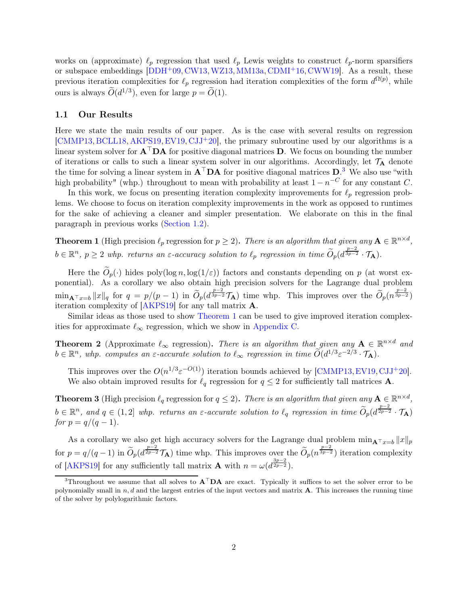works on (approximate)  $\ell_p$  regression that used  $\ell_p$  Lewis weights to construct  $\ell_p$ -norm sparsifiers or subspace embeddings [\[DDH](#page-23-5)+09, [CW13,](#page-23-6) [WZ13,](#page-25-0) [MM13a,](#page-24-5) [CDMI](#page-22-3)+16, [CWW19\]](#page-23-7). As a result, these previous iteration complexities for  $\ell_p$  regression had iteration complexities of the form  $d^{\Omega(p)}$ , while ours is always  $\widetilde{O}(d^{1/3})$ , even for large  $p = \widetilde{O}(1)$ .

#### 1.1 Our Results

Here we state the main results of our paper. As is the case with several results on regression  $[CMMP13, BCLL18, AKPS19, EV19, CJJ<sup>+</sup>20],$  $[CMMP13, BCLL18, AKPS19, EV19, CJJ<sup>+</sup>20],$  $[CMMP13, BCLL18, AKPS19, EV19, CJJ<sup>+</sup>20],$  $[CMMP13, BCLL18, AKPS19, EV19, CJJ<sup>+</sup>20],$  $[CMMP13, BCLL18, AKPS19, EV19, CJJ<sup>+</sup>20],$  $[CMMP13, BCLL18, AKPS19, EV19, CJJ<sup>+</sup>20],$  $[CMMP13, BCLL18, AKPS19, EV19, CJJ<sup>+</sup>20],$  $[CMMP13, BCLL18, AKPS19, EV19, CJJ<sup>+</sup>20],$  $[CMMP13, BCLL18, AKPS19, EV19, CJJ<sup>+</sup>20],$  $[CMMP13, BCLL18, AKPS19, EV19, CJJ<sup>+</sup>20],$  the primary subroutine used by our algorithms is a linear system solver for  $A^{\top}DA$  for positive diagonal matrices D. We focus on bounding the number of iterations or calls to such a linear system solver in our algorithms. Accordingly, let  $\mathcal{T}_A$  denote the time for solving a linear system in  $A^{\top}DA$  for positive diagonal matrices  $D^3$  $D^3$ . We also use "with high probability" (whp.) throughout to mean with probability at least  $1 - n^{-C}$  for any constant C.

In this work, we focus on presenting iteration complexity improvements for  $\ell_p$  regression problems. We choose to focus on iteration complexity improvements in the work as opposed to runtimes for the sake of achieving a cleaner and simpler presentation. We elaborate on this in the final paragraph in previous works [\(Section 1.2\)](#page-3-0).

<span id="page-2-1"></span>**Theorem 1** (High precision  $\ell_p$  regression for  $p \geq 2$ ). There is an algorithm that given any  $A \in \mathbb{R}^{n \times d}$ ,  $b \in \mathbb{R}^n$ ,  $p \ge 2$  whp. returns an  $\varepsilon$ -accuracy solution to  $\ell_p$  regression in time  $\widetilde{O}_p(d^{\frac{p-2}{3p-2}} \cdot \mathcal{T}_A)$ .

Here the  $\widetilde{O}_p(\cdot)$  hides poly(log n, log(1/ $\varepsilon$ )) factors and constants depending on p (at worst exponential). As a corollary we also obtain high precision solvers for the Lagrange dual problem  $\min_{\mathbf{A}^\top x=b} ||x||_q$  for  $q=p/(p-1)$  in  $\widetilde{O}_p(d^{\frac{p-2}{3p-2}}\mathcal{T}_{\mathbf{A}})$  time whp. This improves over the  $\widetilde{O}_p(n^{\frac{p-2}{3p-2}})$ iteration complexity of [\[AKPS19\]](#page-21-1) for any tall matrix A.

<span id="page-2-2"></span>Similar ideas as those used to show [Theorem 1](#page-2-1) can be used to give improved iteration complexities for approximate  $\ell_{\infty}$  regression, which we show in [Appendix C.](#page-28-0)

**Theorem 2** (Approximate  $\ell_{\infty}$  regression). There is an algorithm that given any  $A \in \mathbb{R}^{n \times d}$  and  $b \in \mathbb{R}^n$ , whp. computes an  $\varepsilon$ -accurate solution to  $\ell_{\infty}$  regression in time  $\widetilde{O}(d^{1/3} \varepsilon^{-2/3} \cdot \mathcal{T}_{\mathbf{A}})$ .

This improves over the  $O(n^{1/3} \varepsilon^{-O(1)})$  iteration bounds achieved by [\[CMMP13,](#page-22-0) [EV19,](#page-23-1) [CJJ](#page-22-1)<sup>+</sup>20]. We also obtain improved results for  $\ell_q$  regression for  $q \leq 2$  for sufficiently tall matrices **A**.

<span id="page-2-3"></span>**Theorem 3** (High precision  $\ell_q$  regression for  $q \leq 2$ ). There is an algorithm that given any  $A \in \mathbb{R}^{n \times d}$ ,  $b \in \mathbb{R}^n$ , and  $q \in (1,2]$  whp. returns an  $\varepsilon$ -accurate solution to  $\ell_q$  regression in time  $\widetilde{O}_p(d^{\frac{p-2}{2p-2}} \cdot \mathcal{T}_A)$ for  $p = q/(q - 1)$ .

As a corollary we also get high accuracy solvers for the Lagrange dual problem  $\min_{\mathbf{A}^{\top} x=b} ||x||_p$ for  $p = q/(q-1)$  in  $\widetilde{O}_p(d^{\frac{p-2}{2p-2}})$  time whp. This improves over the  $\widetilde{O}_p(n^{\frac{p-2}{3p-2}})$  iteration complexity of [\[AKPS19\]](#page-21-1) for any sufficiently tall matrix **A** with  $n = \omega(d^{\frac{3p-2}{2p-2}})$ .

<span id="page-2-0"></span><sup>&</sup>lt;sup>3</sup>Throughout we assume that all solves to  $A<sup>T</sup>DA$  are exact. Typically it suffices to set the solver error to be polynomially small in  $n, d$  and the largest entries of the input vectors and matrix  $A$ . This increases the running time of the solver by polylogarithmic factors.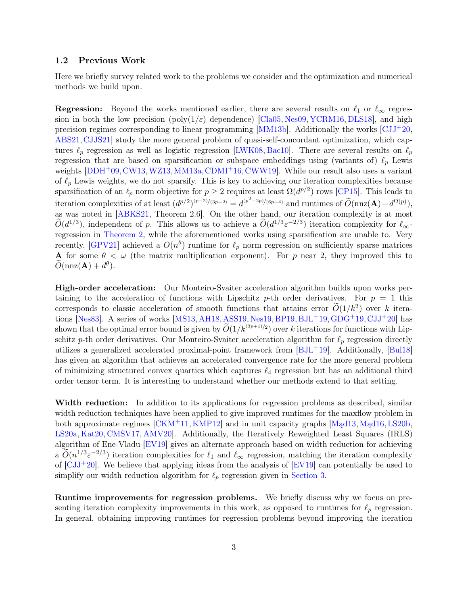#### <span id="page-3-0"></span>1.2 Previous Work

Here we briefly survey related work to the problems we consider and the optimization and numerical methods we build upon.

**Regression:** Beyond the works mentioned earlier, there are several results on  $\ell_1$  or  $\ell_\infty$  regression in both the low precision ( $poly(1/\varepsilon)$  dependence) [\[Cla05,](#page-22-4) [Nes09,](#page-24-6) [YCRM16,](#page-25-1) [DLS18\]](#page-23-0), and high precision regimes corresponding to linear programming  $[MM13b]$ . Additionally the works  $\left[\text{CJJ}^+20,\right]$ [ABS21,](#page-21-6)[CJJS21\]](#page-22-5) study the more general problem of quasi-self-concordant optimization, which captures  $\ell_p$  regression as well as logistic regression [\[LWK08,](#page-24-7) [Bac10\]](#page-21-8). There are several results on  $\ell_p$ regression that are based on sparsification or subspace embeddings using (variants of)  $\ell_p$  Lewis weights  $[DDH<sup>+</sup>09, CW13, WZ13, MM13a, CDMI<sup>+</sup>16, CWW19]$  $[DDH<sup>+</sup>09, CW13, WZ13, MM13a, CDMI<sup>+</sup>16, CWW19]$  $[DDH<sup>+</sup>09, CW13, WZ13, MM13a, CDMI<sup>+</sup>16, CWW19]$  $[DDH<sup>+</sup>09, CW13, WZ13, MM13a, CDMI<sup>+</sup>16, CWW19]$  $[DDH<sup>+</sup>09, CW13, WZ13, MM13a, CDMI<sup>+</sup>16, CWW19]$  $[DDH<sup>+</sup>09, CW13, WZ13, MM13a, CDMI<sup>+</sup>16, CWW19]$  $[DDH<sup>+</sup>09, CW13, WZ13, MM13a, CDMI<sup>+</sup>16, CWW19]$  $[DDH<sup>+</sup>09, CW13, WZ13, MM13a, CDMI<sup>+</sup>16, CWW19]$  $[DDH<sup>+</sup>09, CW13, WZ13, MM13a, CDMI<sup>+</sup>16, CWW19]$  $[DDH<sup>+</sup>09, CW13, WZ13, MM13a, CDMI<sup>+</sup>16, CWW19]$ . While our result also uses a variant of  $\ell_p$  Lewis weights, we do not sparsify. This is key to achieving our iteration complexities because sparsification of an  $\ell_p$  norm objective for  $p \geq 2$  requires at least  $\Omega(d^{p/2})$  rows [\[CP15\]](#page-22-2). This leads to iteration complexities of at least  $(d^{p/2})^{(p-2)/(3p-2)} = d^{(p^2-2p)/(6p-4)}$  and runtimes of  $\widetilde{O}(\text{nnz}(\mathbf{A})+d^{\Omega(p)}),$ as was noted in [\[ABKS21,](#page-21-4) Theorem 2.6]. On the other hand, our iteration complexity is at most  $\tilde{O}(d^{1/3})$ , independent of p. This allows us to achieve a  $\tilde{O}(d^{1/3} \varepsilon^{-2/3})$  iteration complexity for  $\ell_{\infty}$ regression in [Theorem 2,](#page-2-2) while the aforementioned works using sparsification are unable to. Very recently, [\[GPV21\]](#page-23-8) achieved a  $O(n^{\theta})$  runtime for  $\ell_p$  norm regression on sufficiently sparse matrices A for some  $\theta < \omega$  (the matrix multiplication exponent). For p near 2, they improved this to  $\widetilde{O}(\text{nnz}(\mathbf{A})+d^{\theta}).$ 

High-order acceleration: Our Monteiro-Svaiter acceleration algorithm builds upon works pertaining to the acceleration of functions with Lipschitz p-th order derivatives. For  $p = 1$  this corresponds to classic acceleration of smooth functions that attains error  $\tilde{O}(1/k^2)$  over k itera-tions [\[Nes83\]](#page-24-8). A series of works [\[MS13,](#page-24-9) [AH18,](#page-21-9) [ASS19,](#page-21-10) [Nes19,](#page-24-10) [BP19,](#page-22-6) [BJL](#page-21-7)<sup>+</sup>19, [GDG](#page-23-9)<sup>+</sup>19, [CJJ](#page-22-1)<sup>+</sup>20] has shown that the optimal error bound is given by  $O(1/k^{(3p+1)/2})$  over k iterations for functions with Lipschitz p-th order derivatives. Our Monteiro-Svaiter acceleration algorithm for  $\ell_p$  regression directly utilizes a generalized accelerated proximal-point framework from [\[BJL](#page-21-7)+19]. Additionally, [\[Bul18\]](#page-22-7) has given an algorithm that achieves an accelerated convergence rate for the more general problem of minimizing structured convex quartics which captures  $\ell_4$  regression but has an additional third order tensor term. It is interesting to understand whether our methods extend to that setting.

Width reduction: In addition to its applications for regression problems as described, similar width reduction techniques have been applied to give improved runtimes for the maxflow problem in both approximate regimes  $[CKM+11, KMP12]$  $[CKM+11, KMP12]$  and in unit capacity graphs  $[Mad13, Mad16, LS20b,$  $[Mad13, Mad16, LS20b,$ [LS20a,](#page-24-13) [Kat20,](#page-23-11) [CMSV17,](#page-22-9) [AMV20\]](#page-21-5). Additionally, the Iteratively Reweighted Least Squares (IRLS) algorithm of Ene-Vladu [\[EV19\]](#page-23-1) gives an alternate approach based on width reduction for achieving a  $O(n^{1/3} \varepsilon^{-2/3})$  iteration complexities for  $\ell_1$  and  $\ell_\infty$  regression, matching the iteration complexity of  $\left[\text{CJJ}^+20\right]$ . We believe that applying ideas from the analysis of  $\left[\text{EV19}\right]$  can potentially be used to simplify our width reduction algorithm for  $\ell_p$  regression given in [Section 3.](#page-7-0)

Runtime improvements for regression problems. We briefly discuss why we focus on presenting iteration complexity improvements in this work, as opposed to runtimes for  $\ell_p$  regression. In general, obtaining improving runtimes for regression problems beyond improving the iteration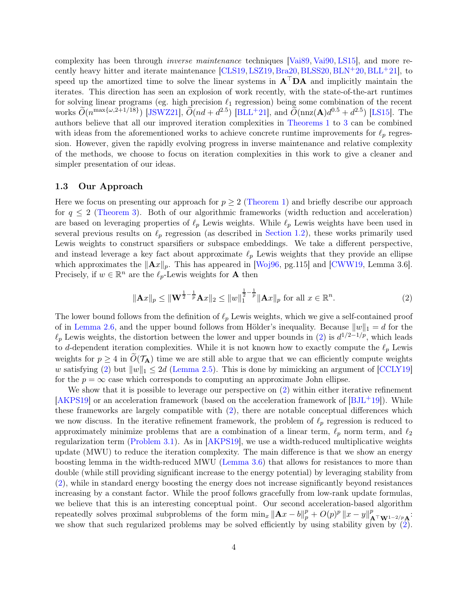complexity has been through inverse maintenance techniques [\[Vai89,](#page-25-2) [Vai90,](#page-25-3) [LS15\]](#page-24-1), and more re-cently heavy hitter and iterate maintenance [\[CLS19,](#page-22-10) [LSZ19,](#page-24-14) [Bra20,](#page-22-11) [BLSS20,](#page-22-12) [BLN](#page-22-13)+20, [BLL](#page-21-11)+21], to speed up the amortized time to solve the linear systems in  $A<sup>T</sup>DA$  and implicitly maintain the iterates. This direction has seen an explosion of work recently, with the state-of-the-art runtimes for solving linear programs (eg. high precision  $\ell_1$  regression) being some combination of the recent works  $\widetilde{O}(n^{\max\{\omega,2+1/18\}})$  [\[JSWZ21\]](#page-23-12),  $\widetilde{O}(nd+d^{2.5})$  [\[BLL](#page-21-11)<sup>+</sup>21], and  $\widetilde{O}(nnz(\mathbf{A})d^{0.5}+d^{2.5})$  [\[LS15\]](#page-24-1). The authors believe that all our improved iteration complexities in [Theorems 1](#page-2-1) to [3](#page-2-3) can be combined with ideas from the aforementioned works to achieve concrete runtime improvements for  $\ell_p$  regression. However, given the rapidly evolving progress in inverse maintenance and relative complexity of the methods, we choose to focus on iteration complexities in this work to give a cleaner and simpler presentation of our ideas.

#### 1.3 Our Approach

Here we focus on presenting our approach for  $p \geq 2$  [\(Theorem 1\)](#page-2-1) and briefly describe our approach for  $q \leq 2$  [\(Theorem 3\)](#page-2-3). Both of our algorithmic frameworks (width reduction and acceleration) are based on leveraging properties of  $\ell_p$  Lewis weights. While  $\ell_p$  Lewis weights have been used in several previous results on  $\ell_p$  regression (as described in [Section 1.2\)](#page-3-0), these works primarily used Lewis weights to construct sparsifiers or subspace embeddings. We take a different perspective, and instead leverage a key fact about approximate  $\ell_p$  Lewis weights that they provide an ellipse which approximates the  $\|\mathbf{A}x\|_p$ . This has appeared in [\[Woj96,](#page-25-4) pg.115] and [\[CWW19,](#page-23-7) Lemma 3.6]. Precisely, if  $w \in \mathbb{R}^n$  are the  $\ell_p$ -Lewis weights for **A** then

<span id="page-4-0"></span>
$$
\|\mathbf{A}x\|_{p} \le \|\mathbf{W}^{\frac{1}{2}-\frac{1}{p}}\mathbf{A}x\|_{2} \le \|w\|_{1}^{\frac{1}{2}-\frac{1}{p}}\|\mathbf{A}x\|_{p} \text{ for all } x \in \mathbb{R}^{n}.
$$
 (2)

The lower bound follows from the definition of  $\ell_p$  Lewis weights, which we give a self-contained proof of in [Lemma 2.6,](#page-6-0) and the upper bound follows from Hölder's inequality. Because  $||w||_1 = d$  for the  $\ell_p$  Lewis weights, the distortion between the lower and upper bounds in [\(2\)](#page-4-0) is  $d^{1/2-1/p}$ , which leads to d-dependent iteration complexities. While it is not known how to exactly compute the  $\ell_p$  Lewis weights for  $p \geq 4$  in  $\tilde{O}(\mathcal{T}_A)$  time we are still able to argue that we can efficiently compute weights w satisfying [\(2\)](#page-4-0) but  $||w||_1 \leq 2d$  [\(Lemma 2.5\)](#page-6-1). This is done by mimicking an argument of [\[CCLY19\]](#page-22-14) for the  $p = \infty$  case which corresponds to computing an approximate John ellipse.

We show that it is possible to leverage our perspective on  $(2)$  within either iterative refinement  $[AKPS19]$  or an acceleration framework (based on the acceleration framework of  $[BJ<sup>L</sup>+19]$ ). While these frameworks are largely compatible with [\(2\)](#page-4-0), there are notable conceptual differences which we now discuss. In the iterative refinement framework, the problem of  $\ell_p$  regression is reduced to approximately minimize problems that are a combination of a linear term,  $\ell_p$  norm term, and  $\ell_2$ regularization term [\(Problem 3.1\)](#page-7-1). As in [\[AKPS19\]](#page-21-1), we use a width-reduced multiplicative weights update (MWU) to reduce the iteration complexity. The main difference is that we show an energy boosting lemma in the width-reduced MWU [\(Lemma 3.6\)](#page-10-0) that allows for resistances to more than double (while still providing significant increase to the energy potential) by leveraging stability from [\(2\)](#page-4-0), while in standard energy boosting the energy does not increase significantly beyond resistances increasing by a constant factor. While the proof follows gracefully from low-rank update formulas, we believe that this is an interesting conceptual point. Our second acceleration-based algorithm repeatedly solves proximal subproblems of the form  $\min_x ||A x - b||_p^p + O(p)^p ||x - y||_{A^{\top} \mathbf{W}^{1-2/p} A}^p$ : we show that such regularized problems may be solved efficiently by using stability given by  $(2)$ .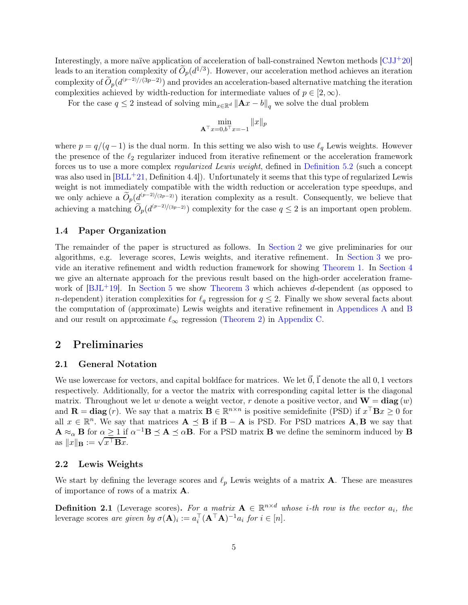Interestingly, a more naïve application of acceleration of ball-constrained Newton methods [\[CJJ](#page-22-1)+20] leads to an iteration complexity of  $\tilde{O}_p(d^{1/3})$ . However, our acceleration method achieves an iteration complexity of  $\widetilde{O}_p(d^{(p-2)/(3p-2)})$  and provides an acceleration-based alternative matching the iteration complexities achieved by width-reduction for intermediate values of  $p \in [2,\infty)$ .

For the case  $q \leq 2$  instead of solving  $\min_{x \in \mathbb{R}^d} ||Ax - b||_q$  we solve the dual problem

$$
\min_{\mathbf{A}^\top x = 0, b^\top x = -1} ||x||_p
$$

where  $p = q/(q-1)$  is the dual norm. In this setting we also wish to use  $\ell_q$  Lewis weights. However the presence of the  $\ell_2$  regularizer induced from iterative refinement or the acceleration framework forces us to use a more complex regularized Lewis weight, defined in [Definition 5.2](#page-18-0) (such a concept was also used in  $|BLL+21,$  Definition 4.4... Unfortunately it seems that this type of regularized Lewis weight is not immediately compatible with the width reduction or acceleration type speedups, and we only achieve a  $\widetilde{O}_p(d^{(p-2)/(2p-2)})$  iteration complexity as a result. Consequently, we believe that achieving a matching  $\widetilde{O}_p(d^{(p-2)/(3p-2)})$  complexity for the case  $q \leq 2$  is an important open problem.

#### 1.4 Paper Organization

The remainder of the paper is structured as follows. In [Section 2](#page-5-0) we give preliminaries for our algorithms, e.g. leverage scores, Lewis weights, and iterative refinement. In [Section 3](#page-7-0) we provide an iterative refinement and width reduction framework for showing [Theorem 1.](#page-2-1) In [Section 4](#page-12-0) we give an alternate approach for the previous result based on the high-order acceleration framework of  $[BJ<sup>L</sup>+19]$ . In [Section 5](#page-17-0) we show [Theorem 3](#page-2-3) which achieves d-dependent (as opposed to n-dependent) iteration complexities for  $\ell_q$  regression for  $q \leq 2$ . Finally we show several facts about the computation of (approximate) Lewis weights and iterative refinement in [Appendices A](#page-25-5) and [B](#page-28-1) and our result on approximate  $\ell_{\infty}$  regression [\(Theorem 2\)](#page-2-2) in [Appendix C.](#page-28-0)

## <span id="page-5-0"></span>2 Preliminaries

#### 2.1 General Notation

We use lowercase for vectors, and capital boldface for matrices. We let  $\vec{0}$ ,  $\vec{1}$  denote the all 0, 1 vectors respectively. Additionally, for a vector the matrix with corresponding capital letter is the diagonal matrix. Throughout we let w denote a weight vector, r denote a positive vector, and  $\mathbf{W} = \text{diag}(w)$ and  $\mathbf{R} = \text{diag}(r)$ . We say that a matrix  $\mathbf{B} \in \mathbb{R}^{n \times n}$  is positive semidefinite (PSD) if  $x^{\top} \mathbf{B} x \ge 0$  for all  $x \in \mathbb{R}^n$ . We say that matrices  $\mathbf{A} \preceq \mathbf{B}$  if  $\mathbf{B} - \mathbf{A}$  is PSD. For PSD matrices  $\mathbf{A}, \mathbf{B}$  we say that  $\mathbf{A} \approx_{\alpha} \mathbf{B}$  for  $\alpha \geq 1$  if  $\alpha^{-1} \mathbf{B} \preceq \mathbf{A} \preceq \alpha \mathbf{B}$ . For a PSD matrix **B** we define the seminorm induced by **B** as  $||x||_B := \sqrt{x^{\top}Bx}$ .

#### 2.2 Lewis Weights

We start by defining the leverage scores and  $\ell_p$  Lewis weights of a matrix **A**. These are measures of importance of rows of a matrix A.

**Definition 2.1** (Leverage scores). For a matrix  $A \in \mathbb{R}^{n \times d}$  whose *i*-th row is the vector  $a_i$ , the leverage scores are given by  $\sigma(\mathbf{A})_i := a_i^{\top} (\mathbf{A}^{\top} \mathbf{A})^{-1} a_i$  for  $i \in [n]$ .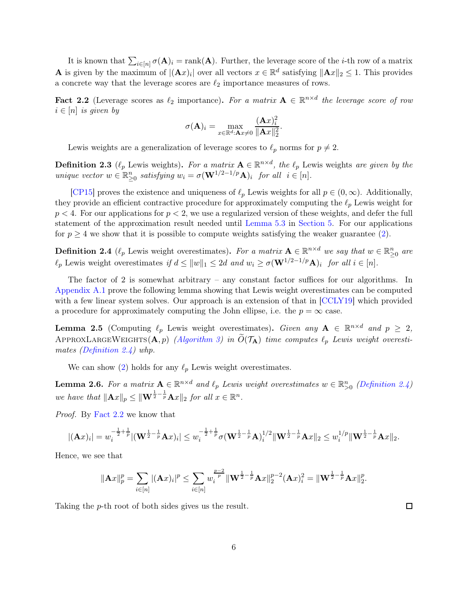It is known that  $\sum_{i\in[n]}\sigma(\mathbf{A})_i = \text{rank}(\mathbf{A})$ . Further, the leverage score of the *i*-th row of a matrix **A** is given by the maximum of  $|(\mathbf{A}x)_i|$  over all vectors  $x \in \mathbb{R}^d$  satisfying  $||\mathbf{A}x||_2 \leq 1$ . This provides a concrete way that the leverage scores are  $\ell_2$  importance measures of rows.

<span id="page-6-3"></span>**Fact 2.2** (Leverage scores as  $\ell_2$  importance). For a matrix  $\mathbf{A} \in \mathbb{R}^{n \times d}$  the leverage score of row  $i \in [n]$  is given by

$$
\sigma(\mathbf{A})_i = \max_{x \in \mathbb{R}^d: \mathbf{A}x \neq 0} \frac{(\mathbf{A}x)_i^2}{\|\mathbf{A}x\|_2^2}.
$$

<span id="page-6-4"></span>Lewis weights are a generalization of leverage scores to  $\ell_p$  norms for  $p \neq 2$ .

**Definition 2.3** ( $\ell_p$  Lewis weights). For a matrix  $\mathbf{A} \in \mathbb{R}^{n \times d}$ , the  $\ell_p$  Lewis weights are given by the unique vector  $w \in \mathbb{R}_{\geq 0}^n$  satisfying  $w_i = \sigma(\mathbf{W}^{1/2-1/p}\mathbf{A})_i$  for all  $i \in [n]$ .

[\[CP15\]](#page-22-2) proves the existence and uniqueness of  $\ell_p$  Lewis weights for all  $p \in (0,\infty)$ . Additionally, they provide an efficient contractive procedure for approximately computing the  $\ell_p$  Lewis weight for  $p < 4$ . For our applications for  $p < 2$ , we use a regularized version of these weights, and defer the full statement of the approximation result needed until [Lemma 5.3](#page-19-0) in [Section 5.](#page-17-0) For our applications for  $p \geq 4$  we show that it is possible to compute weights satisfying the weaker guarantee [\(2\)](#page-4-0).

<span id="page-6-2"></span>**Definition 2.4** ( $\ell_p$  Lewis weight overestimates). For a matrix  $\mathbf{A} \in \mathbb{R}^{n \times d}$  we say that  $w \in \mathbb{R}^n_{\geq 0}$  are  $\ell_p$  Lewis weight overestimates if  $d \leq ||w||_1 \leq 2d$  and  $w_i \geq \sigma(\mathbf{W}^{1/2-1/p}\mathbf{A})_i$  for all  $i \in [n]$ .

The factor of 2 is somewhat arbitrary – any constant factor suffices for our algorithms. In [Appendix A.1](#page-25-6) prove the following lemma showing that Lewis weight overestimates can be computed with a few linear system solves. Our approach is an extension of that in  $|CCLY19|$  which provided a procedure for approximately computing the John ellipse, i.e. the  $p = \infty$  case.

<span id="page-6-1"></span>**Lemma 2.5** (Computing  $\ell_p$  Lewis weight overestimates). Given any  $A \in \mathbb{R}^{n \times d}$  and  $p \geq 2$ , APPROXLARGEWEIGHTS( $\mathbf{A}, p$ ) [\(Algorithm 3\)](#page-25-7) in  $\widetilde{O}(\mathcal{T}_\mathbf{A})$  time computes  $\ell_p$  Lewis weight overestimates [\(Definition 2.4\)](#page-6-2) whp.

<span id="page-6-0"></span>We can show [\(2\)](#page-4-0) holds for any  $\ell_p$  Lewis weight overestimates.

**Lemma 2.6.** For a matrix  $A \in \mathbb{R}^{n \times d}$  and  $\ell_p$  Lewis weight overestimates  $w \in \mathbb{R}^n_{>0}$  [\(Definition 2.4\)](#page-6-2) we have that  $\|\mathbf{A}x\|_p \leq \|\mathbf{W}^{\frac{1}{2}-\frac{1}{p}}\mathbf{A}x\|_2$  for all  $x \in \mathbb{R}^n$ .

Proof. By [Fact 2.2](#page-6-3) we know that

$$
|(\mathbf{A}x)_i| = w_i^{-\frac{1}{2} + \frac{1}{p}} |(\mathbf{W}^{\frac{1}{2} - \frac{1}{p}} \mathbf{A}x)_i| \leq w_i^{-\frac{1}{2} + \frac{1}{p}} \sigma(\mathbf{W}^{\frac{1}{2} - \frac{1}{p}} \mathbf{A})_i^{1/2} \|\mathbf{W}^{\frac{1}{2} - \frac{1}{p}} \mathbf{A}x\|_2 \leq w_i^{1/p} \|\mathbf{W}^{\frac{1}{2} - \frac{1}{p}} \mathbf{A}x\|_2.
$$

Hence, we see that

$$
\|\mathbf{A}x\|_p^p = \sum_{i\in[n]} |(\mathbf{A}x)_i|^p \le \sum_{i\in[n]} w_i^{\frac{p-2}{p}} \|\mathbf{W}^{\frac{1}{2}-\frac{1}{p}} \mathbf{A}x\|_2^{p-2} (\mathbf{A}x)_i^2 = \|\mathbf{W}^{\frac{1}{2}-\frac{1}{p}} \mathbf{A}x\|_2^p.
$$

Taking the p-th root of both sides gives us the result.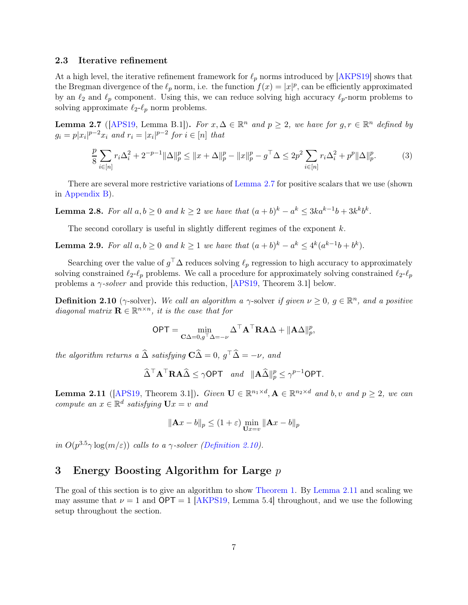#### 2.3 Iterative refinement

At a high level, the iterative refinement framework for  $\ell_p$  norms introduced by [\[AKPS19\]](#page-21-1) shows that the Bregman divergence of the  $\ell_p$  norm, i.e. the function  $f(x) = |x|^p$ , can be efficiently approximated by an  $\ell_2$  and  $\ell_p$  component. Using this, we can reduce solving high accuracy  $\ell_p$ -norm problems to solving approximate  $\ell_2-\ell_p$  norm problems.

<span id="page-7-2"></span>**Lemma 2.7** ([\[APS19,](#page-21-2) Lemma B.1]). For  $x, \Delta \in \mathbb{R}^n$  and  $p \ge 2$ , we have for  $g, r \in \mathbb{R}^n$  defined by  $g_i = p|x_i|^{p-2}x_i$  and  $r_i = |x_i|^{p-2}$  for  $i \in [n]$  that

$$
\frac{p}{8} \sum_{i \in [n]} r_i \Delta_i^2 + 2^{-p-1} \|\Delta\|_p^p \le \|x + \Delta\|_p^p - \|x\|_p^p - g^\top \Delta \le 2p^2 \sum_{i \in [n]} r_i \Delta_i^2 + p^p \|\Delta\|_p^p. \tag{3}
$$

<span id="page-7-5"></span>There are several more restrictive variations of [Lemma 2.7](#page-7-2) for positive scalars that we use (shown in [Appendix B\)](#page-28-1).

**Lemma 2.8.** For all  $a, b \ge 0$  and  $k \ge 2$  we have that  $(a+b)^k - a^k \le 3ka^{k-1}b + 3k^kb^k$ .

<span id="page-7-6"></span>The second corollary is useful in slightly different regimes of the exponent  $k$ .

**Lemma 2.9.** For all  $a, b \ge 0$  and  $k \ge 1$  we have that  $(a+b)^k - a^k \le 4^k(a^{k-1}b + b^k)$ .

Searching over the value of  $g^{\top} \Delta$  reduces solving  $\ell_p$  regression to high accuracy to approximately solving constrained  $\ell_2-\ell_p$  problems. We call a procedure for approximately solving constrained  $\ell_2-\ell_p$ problems a  $\gamma$ -solver and provide this reduction, [\[APS19,](#page-21-2) Theorem 3.1] below.

<span id="page-7-3"></span>**Definition 2.10** ( $\gamma$ -solver). We call an algorithm a  $\gamma$ -solver if given  $\nu \geq 0$ ,  $g \in \mathbb{R}^n$ , and a positive diagonal matrix  $\mathbf{R} \in \mathbb{R}^{n \times n}$ , it is the case that for

$$
\mathsf{OPT} = \min_{\mathbf{C}\Delta = 0, g^\top \Delta = -\nu} \Delta^\top \mathbf{A}^\top \mathbf{R} \mathbf{A} \Delta + ||\mathbf{A}\Delta||_p^p,
$$

the algorithm returns a  $\widehat{\Delta}$  satisfying  $\mathbf{C}\widehat{\Delta} = 0$ ,  $g^{\top}\widehat{\Delta} = -\nu$ , and

$$
\widehat{\Delta}^\top \mathbf{A}^\top \mathbf{R} \mathbf{A} \widehat{\Delta} \le \gamma \mathsf{OPT} \quad and \quad \|\mathbf{A}\widehat{\Delta}\|_p^p \le \gamma^{p-1} \mathsf{OPT}.
$$

<span id="page-7-4"></span>**Lemma 2.11** ([\[APS19,](#page-21-2) Theorem 3.1]). Given  $\mathbf{U} \in \mathbb{R}^{n_1 \times d}$ ,  $\mathbf{A} \in \mathbb{R}^{n_2 \times d}$  and  $b, v$  and  $p \ge 2$ , we can compute an  $x \in \mathbb{R}^d$  satisfying  $\mathbf{U}x = v$  and

$$
\|\mathbf{A}x - b\|_p \le (1 + \varepsilon) \min_{\mathbf{U}x = v} \|\mathbf{A}x - b\|_p
$$

in  $O(p^{3.5}\gamma \log(m/\varepsilon))$  calls to a  $\gamma$ -solver [\(Definition 2.10\)](#page-7-3).

## <span id="page-7-0"></span>3 Energy Boosting Algorithm for Large p

<span id="page-7-1"></span>The goal of this section is to give an algorithm to show [Theorem 1.](#page-2-1) By [Lemma 2.11](#page-7-4) and scaling we may assume that  $\nu = 1$  and OPT = 1 [\[AKPS19,](#page-21-1) Lemma 5.4] throughout, and we use the following setup throughout the section.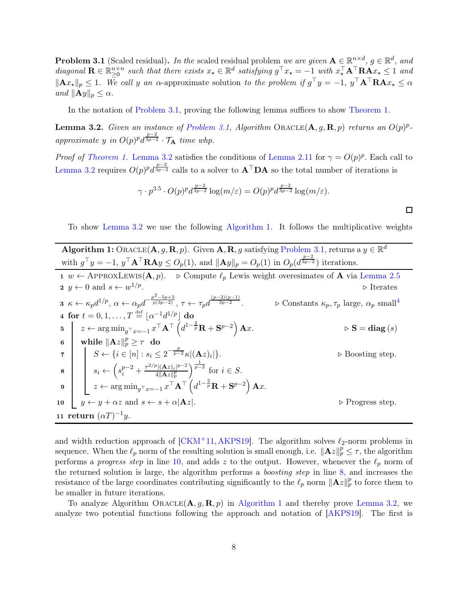**Problem 3.1** (Scaled residual). In the scaled residual problem we are given  $A \in \mathbb{R}^{n \times d}$ ,  $g \in \mathbb{R}^d$ , and diagonal  $\mathbf{R} \in \mathbb{R}_{\geq 0}^{n \times n}$  such that there exists  $x_{\star} \in \mathbb{R}^{d}$  satisfying  $g^{\top} x_{\star} = -1$  with  $x_{\star}^{\top} \mathbf{A}^{\top} \mathbf{R} \mathbf{A} x_{\star} \leq 1$  and  $||\mathbf{A}x_{\star}||_p \leq 1$ . We call y an  $\alpha$ -approximate solution to the problem if  $g^{\top}y = -1$ ,  $y^{\top}\mathbf{A}^{\top}\mathbf{R}\mathbf{A}x_{\star} \leq \alpha$ and  $\|\mathbf{A}y\|_p \leq \alpha$ .

<span id="page-8-0"></span>In the notation of [Problem 3.1,](#page-7-1) proving the following lemma suffices to show [Theorem 1.](#page-2-1)

**Lemma 3.2.** Given an instance of [Problem 3.1,](#page-7-1) Algorithm ORACLE( $\mathbf{A}, g, \mathbf{R}, p$ ) returns an  $O(p)^p$ approximate y in  $O(p)^p d^{\frac{p-2}{3p-2}} \cdot \mathcal{T}_A$  time whp.

*Proof of [Theorem 1.](#page-2-1)* [Lemma 3.2](#page-8-0) satisfies the conditions of [Lemma 2.11](#page-7-4) for  $\gamma = O(p)^p$ . Each call to [Lemma 3.2](#page-8-0) requires  $O(p)^p d^{\frac{p-2}{3p-2}}$  calls to a solver to  $A^{\top}DA$  so the total number of iterations is

$$
\gamma \cdot p^{3.5} \cdot O(p)^p d^{\frac{p-2}{3p-2}} \log(m/\varepsilon) = O(p)^p d^{\frac{p-2}{3p-2}} \log(m/\varepsilon).
$$

To show [Lemma 3.2](#page-8-0) we use the following [Algorithm 1.](#page-8-1) It follows the multiplicative weights

 $\Box$ 

<span id="page-8-8"></span><span id="page-8-7"></span><span id="page-8-5"></span><span id="page-8-4"></span>

| <b>Algorithm 1:</b> ORACLE( $\mathbf{A}, g, \mathbf{R}, p$ ). Given $\mathbf{A}, \mathbf{R}, g$ satisfying Problem 3.1, returns a $y \in \mathbb{R}^d$                                                                                                                                  |                                                                                    |  |  |  |  |
|-----------------------------------------------------------------------------------------------------------------------------------------------------------------------------------------------------------------------------------------------------------------------------------------|------------------------------------------------------------------------------------|--|--|--|--|
| with $g^{\top}y = -1$ , $y^{\top}A^{\top}RAy \le O_p(1)$ , and $  Ay  _p = O_p(1)$ in $O_p(d^{\frac{p-2}{3p-2}})$ iterations.                                                                                                                                                           |                                                                                    |  |  |  |  |
| $1 \, w \leftarrow$ APPROXLEWIS(A, p). $\triangleright$ Compute $\ell_p$ Lewis weight overesimates of A via Lemma 2.5                                                                                                                                                                   |                                                                                    |  |  |  |  |
| 2 $y \leftarrow 0$ and $s \leftarrow w^{1/p}$ .                                                                                                                                                                                                                                         | $\triangleright$ Iterates                                                          |  |  |  |  |
| $\textbf{3}\ \ \kappa \leftarrow \kappa_{p}d^{1/p},\ \alpha \leftarrow \alpha_{p}d^{-\frac{p^{2}-5p+2}{p(3p-2)}},\ \tau \leftarrow \tau_{n}d^{\frac{(p-2)(p-1)}{3p-2}}.$                                                                                                                | $\triangleright$ Constants $\kappa_p, \tau_p$ large, $\alpha_p$ small <sup>4</sup> |  |  |  |  |
| 4 for $t = 0, 1, , T \stackrel{\text{def}}{=}  \alpha^{-1}d^{1/p} $ do                                                                                                                                                                                                                  |                                                                                    |  |  |  |  |
| 5 $z \leftarrow \arg \min_{g^{\top} x = -1} x^{\top} \mathbf{A}^{\top} \left( d^{1 - \frac{2}{p}} \mathbf{R} + \mathbf{S}^{p-2} \right) \mathbf{A} x.$                                                                                                                                  | $\triangleright$ S = diag(s)                                                       |  |  |  |  |
| while $\ \mathbf{A}z\ _p^p \geq \tau$ do<br>$6-1$                                                                                                                                                                                                                                       |                                                                                    |  |  |  |  |
|                                                                                                                                                                                                                                                                                         | $\triangleright$ Boosting step.                                                    |  |  |  |  |
| 7<br>$\begin{array}{c c} 7 & S \leftarrow \{i \in [n] : s_i \leq 2^{-\frac{p}{p-2}} \kappa  (\mathbf{A}z)_i  \} . \\ & & s_i \leftarrow \left( s_i^{p-2} + \frac{\tau^{2/p}  (\mathbf{A}z)_i ^{p-2}}{4 \ \mathbf{A}z\ _p^p} \right)^{\frac{1}{p-2}} \text{ for } i \in S . \end{array}$ |                                                                                    |  |  |  |  |
| $\mathbf{9} \quad \boxed{\quad z \leftarrow \argmin_{g^{\top} x = -1} x^{\top} \mathbf{A}^{\top} \left( d^{1 - \frac{2}{p}} \mathbf{R} + \mathbf{S}^{p - 2} \right) \mathbf{A} x.}$                                                                                                     |                                                                                    |  |  |  |  |
| $  y \leftarrow y + \alpha z \text{ and } s \leftarrow s + \alpha  \mathbf{A}z .$<br>10 <sup>10</sup>                                                                                                                                                                                   | $\triangleright$ Progress step.                                                    |  |  |  |  |
| 11 return $(\alpha T)^{-1}y$ .                                                                                                                                                                                                                                                          |                                                                                    |  |  |  |  |

<span id="page-8-6"></span><span id="page-8-3"></span><span id="page-8-2"></span><span id="page-8-1"></span>and width reduction approach of  $[CKM+11, AKPS19]$  $[CKM+11, AKPS19]$ . The algorithm solves  $\ell_2$ -norm problems in sequence. When the  $\ell_p$  norm of the resulting solution is small enough, i.e.  $\|\mathbf{A}z\|_p^p \leq \tau$ , the algorithm performs a *progress step* in line [10,](#page-8-2) and adds z to the output. However, whenever the  $\ell_p$  norm of the returned solution is large, the algorithm performs a boosting step in line [8,](#page-8-3) and increases the resistance of the large coordinates contributing significantly to the  $\ell_p$  norm  $\|\mathbf{A}z\|_p^p$  to force them to be smaller in future iterations.

To analyze Algorithm ORACLE $(A, g, R, p)$  in [Algorithm 1](#page-8-1) and thereby prove [Lemma 3.2,](#page-8-0) we analyze two potential functions following the approach and notation of [\[AKPS19\]](#page-21-1). The first is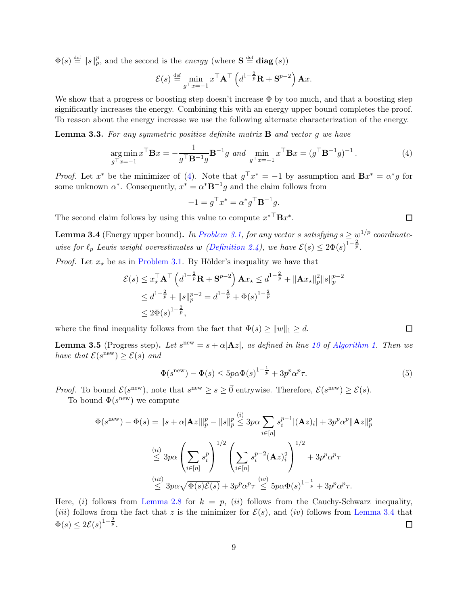$\Phi(s) \stackrel{\text{def}}{=} ||s||_p^p$ , and the second is the *energy* (where  $S \stackrel{\text{def}}{=} \text{diag}(s)$ )

$$
\mathcal{E}(s) \stackrel{\text{def}}{=} \min_{g^\top x = -1} x^\top \mathbf{A}^\top \left( d^{1-\frac{2}{p}} \mathbf{R} + \mathbf{S}^{p-2} \right) \mathbf{A} x.
$$

We show that a progress or boosting step doesn't increase  $\Phi$  by too much, and that a boosting step significantly increases the energy. Combining this with an energy upper bound completes the proof. To reason about the energy increase we use the following alternate characterization of the energy.

<span id="page-9-2"></span>**Lemma 3.3.** For any symmetric positive definite matrix  $\bf{B}$  and vector g we have

$$
\underset{g^{\top}x=-1}{\arg\min} x^{\top} \mathbf{B}x = -\frac{1}{g^{\top} \mathbf{B}^{-1} g} \mathbf{B}^{-1} g \text{ and } \underset{g^{\top}x=-1}{\min} x^{\top} \mathbf{B}x = (g^{\top} \mathbf{B}^{-1} g)^{-1}.
$$
 (4)

*Proof.* Let  $x^*$  be the minimizer of [\(4\)](#page-9-0). Note that  $g^{\top}x^* = -1$  by assumption and  $\mathbf{B}x^* = \alpha^*g$  for some unknown  $\alpha^*$ . Consequently,  $x^* = \alpha^* \mathbf{B}^{-1} g$  and the claim follows from

$$
-1 = g^{\top} x^* = \alpha^* g^{\top} \mathbf{B}^{-1} g.
$$

<span id="page-9-1"></span>The second claim follows by using this value to compute  $x^{*T}Bx^*$ .

**Lemma 3.4** (Energy upper bound). In [Problem 3.1,](#page-7-1) for any vector s satisfying  $s \geq \frac{w^{1/p}}{2}$  coordinatewise for  $\ell_p$  Lewis weight overestimates w [\(Definition 2.4\)](#page-6-2), we have  $\mathcal{E}(s) \leq 2\Phi(s)^{1-\frac{2}{p}}$ .

*Proof.* Let  $x_{\star}$  be as in [Problem 3.1.](#page-7-1) By Hölder's inequality we have that

$$
\mathcal{E}(s) \le x_{\star}^{\top} \mathbf{A}^{\top} \left( d^{1-\frac{2}{p}} \mathbf{R} + \mathbf{S}^{p-2} \right) \mathbf{A} x_{\star} \le d^{1-\frac{2}{p}} + ||\mathbf{A} x_{\star}||_{p}^{2} ||s||_{p}^{p-2}
$$
  

$$
\le d^{1-\frac{2}{p}} + ||s||_{p}^{p-2} = d^{1-\frac{2}{p}} + \Phi(s)^{1-\frac{2}{p}}
$$
  

$$
\le 2\Phi(s)^{1-\frac{2}{p}},
$$

<span id="page-9-3"></span>where the final inequality follows from the fact that  $\Phi(s) \ge ||w||_1 \ge d$ .

**Lemma 3.5** (Progress step). Let  $s^{new} = s + \alpha |\mathbf{A}z|$ , as defined in line [10](#page-8-2) of [Algorithm 1.](#page-8-1) Then we have that  $\mathcal{E}(s^{\text{new}}) \geq \mathcal{E}(s)$  and

$$
\Phi(s^{\text{new}}) - \Phi(s) \le 5p\alpha \Phi(s)^{1-\frac{1}{p}} + 3p^p\alpha^p \tau. \tag{5}
$$

<span id="page-9-0"></span> $\Box$ 

 $\Box$ 

*Proof.* To bound  $\mathcal{E}(s^{\text{new}})$ , note that  $s^{\text{new}} \geq s \geq 0$  entrywise. Therefore,  $\mathcal{E}(s^{\text{new}}) \geq \mathcal{E}(s)$ .

To bound  $\Phi(s^{\text{new}})$  we compute

$$
\Phi(s^{\text{new}}) - \Phi(s) = ||s + \alpha |A z||_p^p - ||s||_p^p \leq 3p\alpha \sum_{i \in [n]} s_i^{p-1} |(Az)_i| + 3p^p \alpha^p ||Az||_p^p
$$
  

$$
\leq 3p\alpha \left(\sum_{i \in [n]} s_i^p\right)^{1/2} \left(\sum_{i \in [n]} s_i^{p-2} (Az)_i^2\right)^{1/2} + 3p^p \alpha^p \tau
$$
  

$$
\leq 3p\alpha \sqrt{\Phi(s)\mathcal{E}(s)} + 3p^p \alpha^p \tau \leq 5p\alpha \Phi(s)^{1 - \frac{1}{p}} + 3p^p \alpha^p \tau.
$$

Here, (i) follows from [Lemma 2.8](#page-7-5) for  $k = p$ , (ii) follows from the Cauchy-Schwarz inequality, (*iii*) follows from the fact that z is the minimizer for  $\mathcal{E}(s)$ , and (*iv*) follows from [Lemma 3.4](#page-9-1) that  $\Phi(s) \leq 2\mathcal{E}(s)^{1-\frac{2}{p}}.$  $\Box$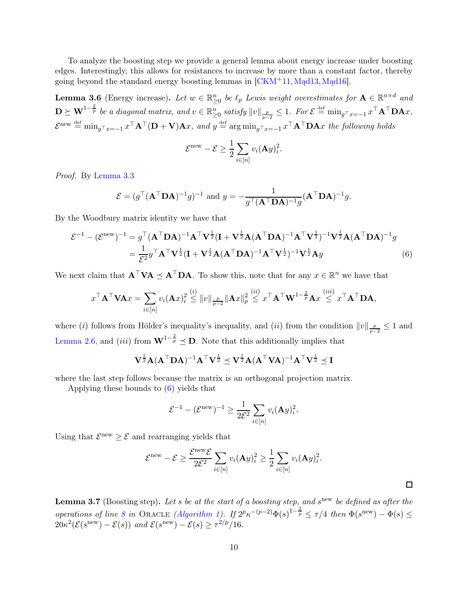To analyze the boosting step we provide a general lemma about energy increase under boosting edges. Interestingly, this allows for resistances to increase by more than a constant factor, thereby going beyond the standard energy boosting lemmas in [\[CKM](#page-22-8)+11,[Mąd13,](#page-24-11)[Mąd16\]](#page-24-12).

<span id="page-10-0"></span>**Lemma 3.6** (Energy increase). Let  $w \in \mathbb{R}_{\geq 0}^n$  be  $\ell_p$  Lewis weight overestimates for  $\mathbf{A} \in \mathbb{R}^{n \times d}$  and  $\mathbf{D} \succeq \mathbf{W}^{1-\frac{2}{p}}$  be a diagonal matrix, and  $v \in \mathbb{R}_{\geq 0}^n$  satisfy  $||v||_{\frac{p}{p-2}} \leq 1$ . For  $\mathcal{E} \stackrel{\text{def}}{=} \min_{g^\top x = -1} x^\top \mathbf{A}^\top \mathbf{D} \mathbf{A} x$ ,  $\mathcal{E}^{\text{new}} \stackrel{\text{def}}{=} \min_{g^{\top}x = -1} x^{\top} \mathbf{A}^{\top} (\mathbf{D} + \mathbf{V}) \mathbf{A}x$ , and  $y \stackrel{\text{def}}{=} \arg \min_{g^{\top}x = -1} x^{\top} \mathbf{A}^{\top} \mathbf{D} \mathbf{A}x$  the following holds

$$
\mathcal{E}^{\text{new}} - \mathcal{E} \ge \frac{1}{2} \sum_{i \in [n]} v_i (\mathbf{A} y)_i^2.
$$

Proof. By [Lemma 3.3](#page-9-2)

$$
\mathcal{E} = (g^{\top} (\mathbf{A}^{\top} \mathbf{D} \mathbf{A})^{-1} g)^{-1} \text{ and } y = -\frac{1}{g^{\top} (\mathbf{A}^{\top} \mathbf{D} \mathbf{A})^{-1} g} (\mathbf{A}^{\top} \mathbf{D} \mathbf{A})^{-1} g.
$$

By the Woodbury matrix identity we have that

$$
\mathcal{E}^{-1} - (\mathcal{E}^{\text{new}})^{-1} = g^{\top} (\mathbf{A}^{\top} \mathbf{D} \mathbf{A})^{-1} \mathbf{A}^{\top} \mathbf{V}^{\frac{1}{2}} (\mathbf{I} + \mathbf{V}^{\frac{1}{2}} \mathbf{A} (\mathbf{A}^{\top} \mathbf{D} \mathbf{A})^{-1} \mathbf{A}^{\top} \mathbf{V}^{\frac{1}{2}})^{-1} \mathbf{V}^{\frac{1}{2}} \mathbf{A} (\mathbf{A}^{\top} \mathbf{D} \mathbf{A})^{-1} g
$$
  
= 
$$
\frac{1}{\mathcal{E}^2} y^{\top} \mathbf{A}^{\top} \mathbf{V}^{\frac{1}{2}} (\mathbf{I} + \mathbf{V}^{\frac{1}{2}} \mathbf{A} (\mathbf{A}^{\top} \mathbf{D} \mathbf{A})^{-1} \mathbf{A}^{\top} \mathbf{V}^{\frac{1}{2}})^{-1} \mathbf{V}^{\frac{1}{2}} \mathbf{A} y
$$
(6)

We next claim that  $\mathbf{A}^\top \mathbf{V} \mathbf{A} \preceq \mathbf{A}^\top \mathbf{D} \mathbf{A}$ . To show this, note that for any  $x \in \mathbb{R}^n$  we have that

$$
x^{\top} \mathbf{A}^{\top} \mathbf{V} \mathbf{A} x = \sum_{i \in [n]} v_i (\mathbf{A} x)_i^2 \stackrel{(i)}{\leq} ||v||_{\frac{p}{p-2}} ||\mathbf{A} x||_p^2 \stackrel{(ii)}{\leq} x^{\top} \mathbf{A}^{\top} \mathbf{W}^{1-\frac{2}{p}} \mathbf{A} x \stackrel{(iii)}{\leq} x^{\top} \mathbf{A}^{\top} \mathbf{D} \mathbf{A},
$$

where (*i*) follows from Hölder's inequality's inequality, and (*ii*) from the condition  $||v||_{\frac{p}{p-2}} \leq 1$  and [Lemma 2.6,](#page-6-0) and (iii) from  $\mathbf{W}^{1-\frac{2}{p}} \preceq \mathbf{D}$ . Note that this additionally implies that

$$
\mathbf{V}^{\frac{1}{2}}\mathbf{A}(\mathbf{A}^{\top}\mathbf{D}\mathbf{A})^{-1}\mathbf{A}^{\top}\mathbf{V}^{\frac{1}{2}} \preceq \mathbf{V}^{\frac{1}{2}}\mathbf{A}(\mathbf{A}^{\top}\mathbf{V}\mathbf{A})^{-1}\mathbf{A}^{\top}\mathbf{V}^{\frac{1}{2}} \preceq \mathbf{I}
$$

where the last step follows because the matrix is an orthogonal projection matrix.

Applying these bounds to [\(6\)](#page-10-1) yields that

$$
\mathcal{E}^{-1} - (\mathcal{E}^{\text{new}})^{-1} \ge \frac{1}{2\mathcal{E}^2} \sum_{i \in [n]} v_i (\mathbf{A} y)_i^2.
$$

Using that  $\mathcal{E}^{\text{new}} \geq \mathcal{E}$  and rearranging yields that

$$
\mathcal{E}^{\text{new}} - \mathcal{E} \ge \frac{\mathcal{E}^{\text{new}} \mathcal{E}}{2\mathcal{E}^2} \sum_{i \in [n]} v_i (\mathbf{A} y)_i^2 \ge \frac{1}{2} \sum_{i \in [n]} v_i (\mathbf{A} y)_i^2.
$$

<span id="page-10-1"></span> $\Box$ 

<span id="page-10-2"></span>**Lemma 3.7** (Boosting step). Let s be at the start of a boosting step, and s<sup>new</sup> be defined as after the operations of line [8](#page-8-3) in ORACLE [\(Algorithm 1\)](#page-8-1). If  $2^p \kappa^{-(p-2)} \Phi(s)^{1-\frac{2}{p}} \leq \tau/4$  then  $\Phi(s^{\text{new}}) - \Phi(s) \leq$  $20\kappa^2(\mathcal{E}(s^{\text{new}})-\mathcal{E}(s))$  and  $\mathcal{E}(s^{\text{new}})-\mathcal{E}(s) \geq \tau^{2/p}/16$ .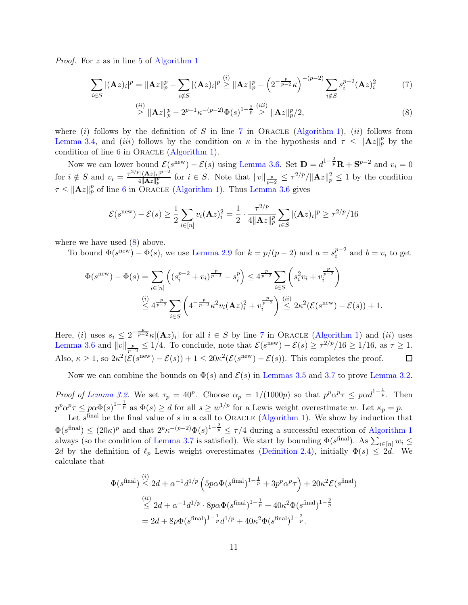*Proof.* For z as in line [5](#page-8-4) of [Algorithm 1](#page-8-5)

$$
\sum_{i \in S} |(\mathbf{A}z)_i|^p = \|\mathbf{A}z\|_p^p - \sum_{i \notin S} |(\mathbf{A}z)_i|^p \stackrel{(i)}{\geq} \|\mathbf{A}z\|_p^p - \left(2^{-\frac{p}{p-2}} \kappa\right)^{-(p-2)} \sum_{i \notin S} s_i^{p-2} (\mathbf{A}z)_i^2 \tag{7}
$$

<span id="page-11-0"></span>
$$
\stackrel{(ii)}{\geq} \|\mathbf{A}z\|_p^p - 2^{p+1}\kappa^{-(p-2)}\Phi(s)^{1-\frac{2}{p}} \stackrel{(iii)}{\geq} \|\mathbf{A}z\|_p^p/2,\tag{8}
$$

where (i) follows by the definition of S in line [7](#page-8-6) in ORACLE [\(Algorithm 1\)](#page-8-1), (ii) follows from [Lemma 3.4,](#page-9-1) and *(iii)* follows by the condition on  $\kappa$  in the hypothesis and  $\tau \leq ||A z||_p^p$  by the condition of line  $6$  in ORACLE [\(Algorithm 1\)](#page-8-1).

Now we can lower bound  $\mathcal{E}(s^{\text{new}}) - \mathcal{E}(s)$  using [Lemma 3.6.](#page-10-0) Set  $\mathbf{D} = d^{1-\frac{2}{p}}\mathbf{R} + \mathbf{S}^{p-2}$  and  $v_i = 0$ for  $i \notin S$  and  $v_i = \frac{\tau^{2/p} |(\mathbf{A}z)_i|^{p-2}}{4 \|\mathbf{A}z\|_p^p}$  $\frac{\partial |(\mathbf{A}z)_i|^{p-2}}{4\|\mathbf{A}z\|_p^p}$  for  $i \in S$ . Note that  $||v||_{\frac{p}{p-2}} \leq \tau^{2/p}/\|\mathbf{A}z\|_p^2 \leq 1$  by the condition  $\tau \leq ||\mathbf{A}z||_p^p$  of line [6](#page-8-7) in ORACLE [\(Algorithm 1\)](#page-8-1). Thus [Lemma 3.6](#page-10-0) gives

$$
\mathcal{E}(s^{\text{new}}) - \mathcal{E}(s) \ge \frac{1}{2} \sum_{i \in [n]} v_i (\mathbf{A} z)_i^2 = \frac{1}{2} \cdot \frac{\tau^{2/p}}{4 \|\mathbf{A} z\|_p^p} \sum_{i \in S} |(\mathbf{A} z)_i|^p \ge \tau^{2/p} / 16
$$

where we have used [\(8\)](#page-11-0) above.

 $\langle \cdot \rangle$ 

To bound  $\Phi(s^{\text{new}}) - \Phi(s)$ , we use [Lemma 2.9](#page-7-6) for  $k = p/(p-2)$  and  $a = s_i^{p-2}$  $i^{p-2}$  and  $b = v_i$  to get

$$
\Phi(s^{\text{new}}) - \Phi(s) = \sum_{i \in [n]} \left( (s_i^{p-2} + v_i)^{\frac{p}{p-2}} - s_i^p \right) \le 4^{\frac{p}{p-2}} \sum_{i \in S} \left( s_i^2 v_i + v_i^{\frac{p}{p-2}} \right)
$$
  

$$
\stackrel{(i)}{\le} 4^{\frac{p}{p-2}} \sum_{i \in S} \left( 4^{-\frac{p}{p-2}} \kappa^2 v_i (\mathbf{A} z)_i^2 + v_i^{\frac{p}{p-2}} \right) \stackrel{(ii)}{\le} 2\kappa^2 (\mathcal{E}(s^{\text{new}}) - \mathcal{E}(s)) + 1.
$$

Here, (i) uses  $s_i \leq 2^{-\frac{p}{p-2}} \kappa |(\mathbf{A}z)_i|$  for all  $i \in S$  by line [7](#page-8-6) in Oracle [\(Algorithm 1\)](#page-8-1) and (ii) uses [Lemma 3.6](#page-10-0) and  $||v||_{\frac{p}{p-2}} \leq 1/4$ . To conclude, note that  $\mathcal{E}(s^{\text{new}}) - \mathcal{E}(s) \geq \tau^{2/p}/16 \geq 1/16$ , as  $\tau \geq 1$ . Also,  $\kappa \ge 1$ , so  $2\kappa^2(\mathcal{E}(s^{\text{new}}) - \mathcal{E}(s)) + 1 \le 20\kappa^2(\mathcal{E}(s^{\text{new}}) - \mathcal{E}(s))$ . This completes the proof.  $\Box$ 

Now we can combine the bounds on  $\Phi(s)$  and  $\mathcal{E}(s)$  in [Lemmas 3.5](#page-9-3) and [3.7](#page-10-2) to prove [Lemma 3.2.](#page-8-0)

Proof of [Lemma 3.2.](#page-8-0) We set  $\tau_p = 40^p$ . Choose  $\alpha_p = 1/(1000p)$  so that  $p^p \alpha^p \tau \leq p \alpha d^{1-\frac{1}{p}}$ . Then  $p^p \alpha^p \tau \leq p \alpha \Phi(s)^{1-\frac{1}{p}}$  as  $\Phi(s) \geq d$  for all  $s \geq w^{1/p}$  for a Lewis weight overestimate w. Let  $\kappa_p = p$ .

Let  $s^{\text{final}}$  be the final value of s in a call to ORACLE [\(Algorithm 1\)](#page-8-1). We show by induction that  $\Phi(s^{\text{final}}) \leq (20\kappa)^p$  and that  $2^p \kappa^{-(p-2)} \Phi(s)^{1-\frac{2}{p}} \leq \tau/4$  during a successful execution of [Algorithm 1](#page-8-5) always (so the condition of [Lemma 3.7](#page-10-2) is satisfied). We start by bounding  $\Phi(s^{final})$ . As  $\sum_{i\in[n]} w_i \leq$ 2d by the definition of  $\ell_p$  Lewis weight overestimates [\(Definition 2.4\)](#page-6-2), initially  $\Phi(s) \leq 2d$ . We calculate that

$$
\Phi(s^{\text{final}}) \stackrel{\text{(i)}}{\leq} 2d + \alpha^{-1} d^{1/p} \left( 5p\alpha \Phi(s^{\text{final}})^{1-\frac{1}{p}} + 3p^p \alpha^p \tau \right) + 20\kappa^2 \mathcal{E}(s^{\text{final}})
$$
  

$$
\stackrel{\text{(ii)}}{\leq} 2d + \alpha^{-1} d^{1/p} \cdot 8p\alpha \Phi(s^{\text{final}})^{1-\frac{1}{p}} + 40\kappa^2 \Phi(s^{\text{final}})^{1-\frac{2}{p}}
$$
  

$$
= 2d + 8p\Phi(s^{\text{final}})^{1-\frac{1}{p}} d^{1/p} + 40\kappa^2 \Phi(s^{\text{final}})^{1-\frac{2}{p}}.
$$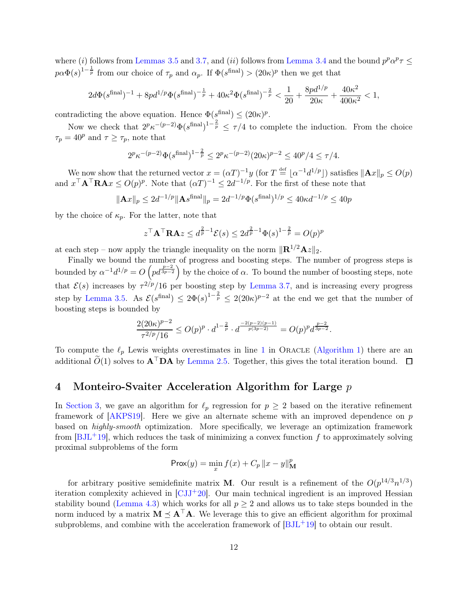where (i) follows from [Lemmas 3.5](#page-9-3) and [3.7,](#page-10-2) and (ii) follows from [Lemma 3.4](#page-9-1) and the bound  $p^p\alpha^p\tau \leq$  $p\alpha\Phi(s)^{1-\frac{1}{p}}$  from our choice of  $\tau_p$  and  $\alpha_p$ . If  $\Phi(s^{\text{final}}) > (20\kappa)^p$  then we get that

$$
2d\Phi(s^{\text{final}})^{-1} + 8pd^{1/p}\Phi(s^{\text{final}})^{-\frac{1}{p}} + 40\kappa^2\Phi(s^{\text{final}})^{-\frac{2}{p}} < \frac{1}{20} + \frac{8pd^{1/p}}{20\kappa} + \frac{40\kappa^2}{400\kappa^2} < 1,
$$

contradicting the above equation. Hence  $\Phi(s_i^{\text{final}}) \leq (20\kappa)^p$ .

Now we check that  $2^p \kappa^{-(p-2)} \Phi(\delta^{\text{final}})^{1-\frac{2}{p}} \leq \tau/4$  to complete the induction. From the choice  $\tau_p = 40^p$  and  $\tau \geq \tau_p$ , note that

$$
2^{p} \kappa^{-(p-2)} \Phi(s^{\text{final}})^{1-\frac{2}{p}} \le 2^{p} \kappa^{-(p-2)} (20\kappa)^{p-2} \le 40^{p}/4 \le \tau/4.
$$

We now show that the returned vector  $x = (\alpha T)^{-1}y$  (for  $T \stackrel{\text{def}}{=} \lfloor \alpha^{-1}d^{1/p} \rfloor$ ) satisfies  $\|\mathbf{A}x\|_p \leq O(p)$ and  $x^{\top} \mathbf{A}^{\top} \mathbf{R} \mathbf{A} x \le O(p)^p$ . Note that  $(\alpha T)^{-1} \le 2d^{-1/p}$ . For the first of these note that

$$
\|\mathbf{A}x\|_{p} \le 2d^{-1/p} \|\mathbf{A}s^{\text{final}}\|_{p} = 2d^{-1/p} \Phi(s^{\text{final}})^{1/p} \le 40\kappa d^{-1/p} \le 40p
$$

by the choice of  $\kappa_p$ . For the latter, note that

$$
z^{\top} \mathbf{A}^{\top} \mathbf{R} \mathbf{A} z \le d^{\frac{2}{p}-1} \mathcal{E}(s) \le 2d^{\frac{2}{p}-1} \Phi(s)^{1-\frac{2}{p}} = O(p)^p
$$

at each step – now apply the triangle inequality on the norm  $\|\mathbf{R}^{1/2}\mathbf{A}z\|_2$ .

Finally we bound the number of progress and boosting steps. The number of progress steps is bounded by  $\alpha^{-1}d^{1/p} = O\left(p d^{\frac{p-2}{3p-2}}\right)$  by the choice of  $\alpha$ . To bound the number of boosting steps, note that  $\mathcal{E}(s)$  increases by  $\tau^{2/p}/16$  per boosting step by [Lemma 3.7,](#page-10-2) and is increasing every progress step by [Lemma 3.5.](#page-9-3) As  $\mathcal{E}(s^{\text{final}}) \leq 2\Phi(s)^{1-\frac{2}{p}} \leq 2(20\kappa)^{p-2}$  at the end we get that the number of boosting steps is bounded by

$$
\frac{2(20\kappa)^{p-2}}{\tau^{2/p}/16} \le O(p)^p \cdot d^{1-\frac{2}{p}} \cdot d^{\frac{-2(p-2)(p-1)}{p(3p-2)}} = O(p)^p d^{\frac{p-2}{3p-2}}.
$$

To compute the  $\ell_p$  Lewis weights overestimates in line [1](#page-8-8) in ORACLE [\(Algorithm 1\)](#page-8-1) there are an additional  $\widetilde{O}(1)$  solves to  $\mathbf{A}^{\top} \mathbf{D} \mathbf{A}$  by [Lemma 2.5.](#page-6-1) Together, this gives the total iteration bound.  $\square$ 

## <span id="page-12-0"></span>4 Monteiro-Svaiter Acceleration Algorithm for Large p

In [Section 3,](#page-7-0) we gave an algorithm for  $\ell_p$  regression for  $p \geq 2$  based on the iterative refinement framework of [\[AKPS19\]](#page-21-1). Here we give an alternate scheme with an improved dependence on p based on highly-smooth optimization. More specifically, we leverage an optimization framework from  $[BJ<sup>L</sup>+19]$ , which reduces the task of minimizing a convex function f to approximately solving proximal subproblems of the form

$$
\operatorname{Prox}(y) = \min_{x} f(x) + C_p \|x - y\|_{\mathbf{M}}^p
$$

for arbitrary positive semidefinite matrix **M**. Our result is a refinement of the  $O(p^{14/3}n^{1/3})$ iteration complexity achieved in  $\left[\mathrm{CJJ}^+20\right]$ . Our main technical ingredient is an improved Hessian stability bound [\(Lemma 4.3\)](#page-13-0) which works for all  $p \geq 2$  and allows us to take steps bounded in the norm induced by a matrix  $M \preceq A^{\top}A$ . We leverage this to give an efficient algorithm for proximal subproblems, and combine with the acceleration framework of  $[BJ<sub>L</sub>+19]$  to obtain our result.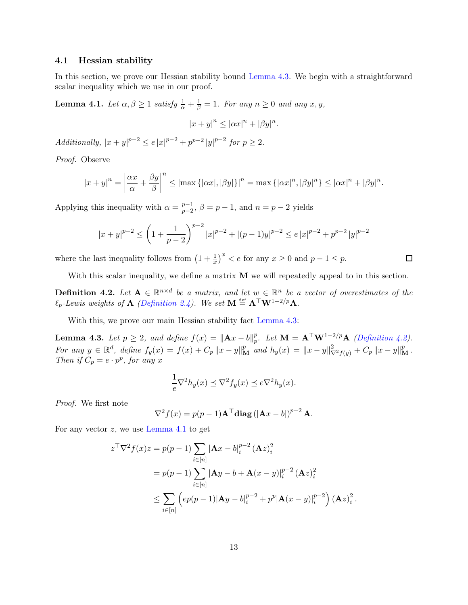#### 4.1 Hessian stability

<span id="page-13-2"></span>In this section, we prove our Hessian stability bound [Lemma 4.3.](#page-13-0) We begin with a straightforward scalar inequality which we use in our proof.

**Lemma 4.1.** Let  $\alpha, \beta \ge 1$  satisfy  $\frac{1}{\alpha} + \frac{1}{\beta} = 1$ . For any  $n \ge 0$  and any  $x, y$ ,

$$
|x+y|^n \le |\alpha x|^n + |\beta y|^n.
$$

Additionally,  $|x + y|^{p-2} \le e |x|^{p-2} + p^{p-2} |y|^{p-2}$  for  $p \ge 2$ .

Proof. Observe

$$
|x+y|^n = \left|\frac{\alpha x}{\alpha} + \frac{\beta y}{\beta}\right|^n \le |\max\{|\alpha x|, |\beta y|\}|^n = \max\{|\alpha x|^n, |\beta y|^n\} \le |\alpha x|^n + |\beta y|^n.
$$

Applying this inequality with  $\alpha = \frac{p-1}{p-2}$  $\frac{p-1}{p-2}$ ,  $\beta = p-1$ , and  $n = p-2$  yields

$$
|x+y|^{p-2} \le \left(1+\frac{1}{p-2}\right)^{p-2}|x|^{p-2} + |(p-1)y|^{p-2} \le e|x|^{p-2} + p^{p-2}|y|^{p-2}
$$

where the last inequality follows from  $(1 + \frac{1}{x})^x < e$  for any  $x \ge 0$  and  $p - 1 \le p$ .

<span id="page-13-1"></span>With this scalar inequality, we define a matrix **M** we will repeatedly appeal to in this section.

口

**Definition 4.2.** Let  $A \in \mathbb{R}^{n \times d}$  be a matrix, and let  $w \in \mathbb{R}^n$  be a vector of overestimates of the  $\ell_p$ -Lewis weights of **A** [\(Definition 2.4\)](#page-6-2). We set  $\mathbf{M} \stackrel{\text{def}}{=} \mathbf{A}^\top \mathbf{W}^{1-2/p} \mathbf{A}$ .

<span id="page-13-0"></span>With this, we prove our main Hessian stability fact Lemma  $4.3$ :

**Lemma 4.3.** Let  $p \geq 2$ , and define  $f(x) = ||Ax - b||_p^p$ p. Let  $\mathbf{M} = \mathbf{A}^{\top} \mathbf{W}^{1-2/p} \mathbf{A}$  [\(Definition 4.2\)](#page-13-1). For any  $y \in \mathbb{R}^d$ , define  $f_y(x) = f(x) + C_p ||x - y||_M^p$  and  $h_y(x) = ||x - y||_{\nabla^2 f(y)}^2 + C_p ||x - y||_M^p$ . Then if  $C_p = e \cdot p^p$ , for any x

$$
\frac{1}{e}\nabla^2 h_y(x) \preceq \nabla^2 f_y(x) \preceq e \nabla^2 h_y(x).
$$

Proof. We first note

$$
\nabla^2 f(x) = p(p-1)\mathbf{A}^\top \mathbf{diag} \left( |\mathbf{A}x - b| \right)^{p-2} \mathbf{A}.
$$

For any vector  $z$ , we use [Lemma 4.1](#page-13-2) to get

$$
z^{\top} \nabla^2 f(x) z = p(p-1) \sum_{i \in [n]} |\mathbf{A}x - b|_i^{p-2} (\mathbf{A}z)_i^2
$$
  
=  $p(p-1) \sum_{i \in [n]} |\mathbf{A}y - b + \mathbf{A}(x - y)|_i^{p-2} (\mathbf{A}z)_i^2$   

$$
\leq \sum_{i \in [n]} (ep(p-1)|\mathbf{A}y - b|_i^{p-2} + p^p |\mathbf{A}(x - y)|_i^{p-2}) (\mathbf{A}z)_i^2.
$$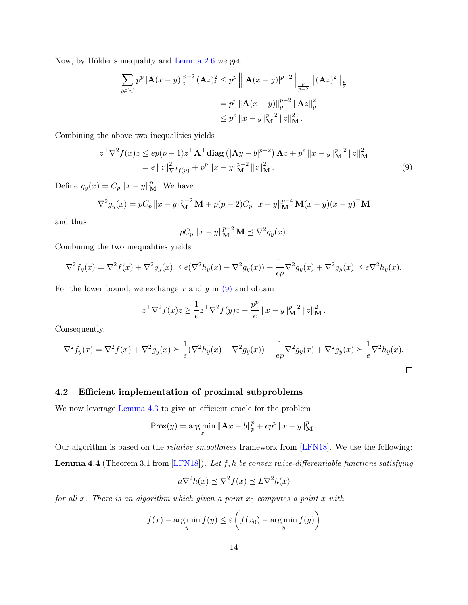Now, by Hölder's inequality and [Lemma 2.6](#page-6-0) we get

$$
\sum_{i \in [n]} p^{p} |\mathbf{A}(x - y)|_{i}^{p-2} (\mathbf{A}z)_{i}^{2} \leq p^{p} \left\| |\mathbf{A}(x - y)|^{p-2} \right\|_{\frac{p}{p-2}} \|(\mathbf{A}z)^{2}\|_{\frac{p}{2}}
$$

$$
= p^{p} \left\| \mathbf{A}(x - y)\right\|_{p}^{p-2} \left\| \mathbf{A}z\right\|_{p}^{2}
$$

$$
\leq p^{p} \left\| x - y \right\|_{\mathbf{M}}^{p-2} \left\| z \right\|_{\mathbf{M}}^{2}.
$$

Combining the above two inequalities yields

$$
z^{\top} \nabla^2 f(x) z \le ep(p-1) z^{\top} \mathbf{A}^{\top} \mathbf{diag} \left( |\mathbf{A}y - b|^{p-2} \right) \mathbf{A} z + p^p \|x - y\|_{\mathbf{M}}^{p-2} \|z\|_{\mathbf{M}}^2
$$
  
=  $e \|z\|_{\nabla^2 f(y)}^2 + p^p \|x - y\|_{\mathbf{M}}^{p-2} \|z\|_{\mathbf{M}}^2.$  (9)

Define  $g_y(x) = C_p ||x - y||_{\mathbf{M}}^p$ . We have

$$
\nabla^2 g_y(x) = pC_p ||x - y||_M^{p-2} \mathbf{M} + p(p-2)C_p ||x - y||_M^{p-4} \mathbf{M}(x - y)(x - y)^{\top} \mathbf{M}
$$

and thus

<span id="page-14-0"></span>
$$
pC_p ||x - y||_{\mathbf{M}}^{p-2} \mathbf{M} \preceq \nabla^2 g_y(x).
$$

Combining the two inequalities yields

$$
\nabla^2 f_y(x) = \nabla^2 f(x) + \nabla^2 g_y(x) \le e(\nabla^2 h_y(x) - \nabla^2 g_y(x)) + \frac{1}{ep} \nabla^2 g_y(x) + \nabla^2 g_y(x) \le e^{\nabla^2 h_y(x)}.
$$

For the lower bound, we exchange x and y in  $(9)$  and obtain

$$
z^{\top} \nabla^2 f(x) z \ge \frac{1}{e} z^{\top} \nabla^2 f(y) z - \frac{p^p}{e} ||x - y||_{\mathbf{M}}^{p-2} ||z||_{\mathbf{M}}^2.
$$

Consequently,

$$
\nabla^2 f_y(x) = \nabla^2 f(x) + \nabla^2 g_y(x) \ge \frac{1}{e} (\nabla^2 h_y(x) - \nabla^2 g_y(x)) - \frac{1}{ep} \nabla^2 g_y(x) + \nabla^2 g_y(x) \ge \frac{1}{e} \nabla^2 h_y(x).
$$

#### 4.2 Efficient implementation of proximal subproblems

We now leverage [Lemma 4.3](#page-13-0) to give an efficient oracle for the problem

$$
Prox(y) = \argmin_{x} \|Ax - b\|_{p}^{p} + ep^{p} \|x - y\|_{\mathbf{M}}^{p}.
$$

Our algorithm is based on the *relative smoothness* framework from [\[LFN18\]](#page-23-13). We use the following: **Lemma 4.4** (Theorem 3.1 from  $[LFN18]$ ). Let f, h be convex twice-differentiable functions satisfying

$$
\mu \nabla^2 h(x) \preceq \nabla^2 f(x) \preceq L \nabla^2 h(x)
$$

for all x. There is an algorithm which given a point  $x_0$  computes a point x with

$$
f(x) - \underset{y}{\arg\min} f(y) \le \varepsilon \left( f(x_0) - \underset{y}{\arg\min} f(y) \right)
$$

 $\overline{a}$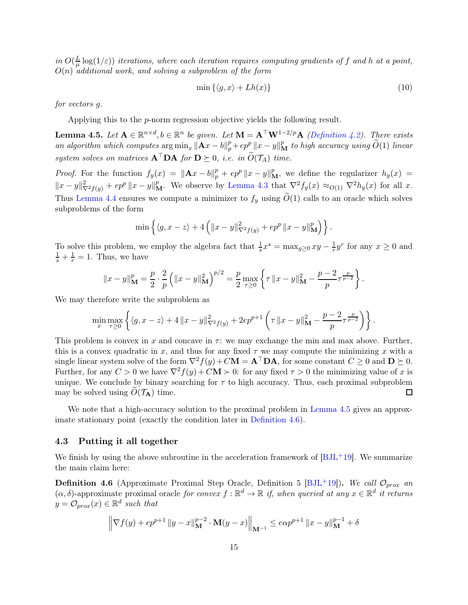in  $O(\frac{L}{\mu})$  $\frac{L}{\mu} \log(1/\varepsilon)$ ) iterations, where each iteration requires computing gradients of  $f$  and  $h$  at a point,  $O(n)$  additional work, and solving a subproblem of the form

<span id="page-15-0"></span>
$$
\min\left\{\langle g, x\rangle + Lh(x)\right\} \tag{10}
$$

for vectors g.

<span id="page-15-1"></span>Applying this to the p-norm regression objective yields the following result.

**Lemma 4.5.** Let  $A \in \mathbb{R}^{n \times d}$ ,  $b \in \mathbb{R}^n$  be given. Let  $M = A^{\top} W^{1-2/p} A$  [\(Definition 4.2\)](#page-13-1). There exists an algorithm which computes  $\arg \min_x ||\mathbf{A}x - b||_p^p + ep^p ||x - y||_M^p$  to high accuracy using  $\widetilde{O}(1)$  linear system solves on matrices  $A^{\top}DA$  for  $D \succeq 0$ , i.e. in  $O(\mathcal{T}_A)$  time.

*Proof.* For the function  $f_y(x) = ||A x - b||_p^p + e p^p ||x - y||_M^p$ , we define the regularizer  $h_y(x) =$  $||x-y||^2_{\nabla^2 f(y)} + e p^p ||x-y||^p_M$ . We observe by [Lemma 4.3](#page-13-0) that  $\nabla^2 f_y(x) \approx_{O(1)} \nabla^2 h_y(x)$  for all x. Thus [Lemma 4.4](#page-15-0) ensures we compute a minimizer to  $f_y$  using  $\tilde{O}(1)$  calls to an oracle which solves subproblems of the form

$$
\min \left\{ \langle g, x - z \rangle + 4 \left( \|x - y\|_{\nabla^2 f(y)}^2 + e p^p \|x - y\|_{\mathbf{M}}^p \right) \right\}.
$$

To solve this problem, we employ the algebra fact that  $\frac{1}{s}x^s = \max_{y\geq 0} xy - \frac{1}{r}y^r$  for any  $x \geq 0$  and  $\frac{1}{s} + \frac{1}{r} = 1$ . Thus, we have

$$
||x - y||_{\mathbf{M}}^p = \frac{p}{2} \cdot \frac{2}{p} \left( ||x - y||_{\mathbf{M}}^2 \right)^{p/2} = \frac{p}{2} \max_{\tau \ge 0} \left\{ \tau ||x - y||_{\mathbf{M}}^2 - \frac{p - 2}{p} \tau^{\frac{p}{p - 2}} \right\}.
$$

We may therefore write the subproblem as

$$
\min_{x} \max_{\tau \ge 0} \left\{ \langle g, x - z \rangle + 4 \| x - y \|_{\nabla^2 f(y)}^2 + 2ep^{p+1} \left( \tau \| x - y \|_{\mathbf{M}}^2 - \frac{p-2}{p} \tau^{\frac{p}{p-2}} \right) \right\}.
$$

This problem is convex in x and concave in  $\tau$ : we may exchange the min and max above. Further, this is a convex quadratic in x, and thus for any fixed  $\tau$  we may compute the minimizing x with a single linear system solve of the form  $\nabla^2 f(y) + C\mathbf{M} = \mathbf{A}^\top \mathbf{D} \mathbf{A}$ , for some constant  $C \geq 0$  and  $\mathbf{D} \succeq 0$ . Further, for any  $C > 0$  we have  $\nabla^2 f(y) + C\mathbf{M} > 0$ : for any fixed  $\tau > 0$  the minimizing value of x is unique. We conclude by binary searching for  $\tau$  to high accuracy. Thus, each proximal subproblem may be solved using  $O(\mathcal{T}_A)$  time. 口

We note that a high-accuracy solution to the proximal problem in [Lemma 4.5](#page-15-1) gives an approximate stationary point (exactly the condition later in [Definition 4.6\)](#page-15-2).

#### 4.3 Putting it all together

<span id="page-15-2"></span>We finish by using the above subroutine in the acceleration framework of  $[BJ<sub>L</sub>+19]$ . We summarize the main claim here:

<span id="page-15-3"></span>**Definition 4.6** (Approximate Proximal Step Oracle, Definition 5 [\[BJL](#page-21-7)<sup>+</sup>19]). We call  $\mathcal{O}_{prox}$  an  $(\alpha, \delta)$ -approximate proximal oracle for convex  $f : \mathbb{R}^d \to \mathbb{R}$  if, when queried at any  $x \in \mathbb{R}^d$  it returns  $y = \mathcal{O}_{prox}(x) \in \mathbb{R}^d$  such that

$$
\left\| \nabla f(y) + e p^{p+1} \left\| y - x \right\|_{\mathbf{M}}^{p-2} \cdot \mathbf{M}(y-x) \right\|_{\mathbf{M}^{-1}} \leq e \alpha p^{p+1} \left\| x - y \right\|_{\mathbf{M}}^{p-1} + \delta
$$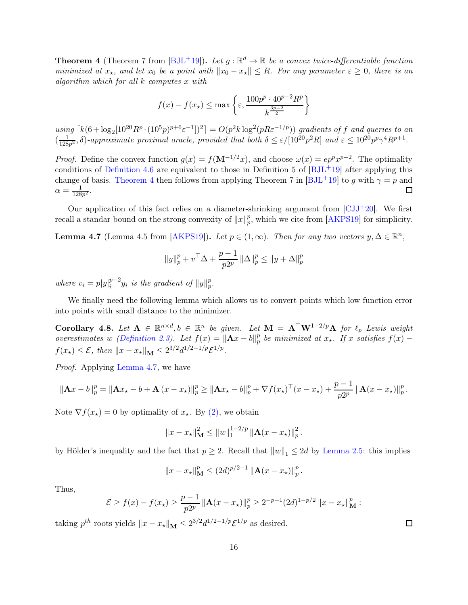**Theorem 4** (Theorem 7 from  $[BJL^+19]$ ). Let  $g : \mathbb{R}^d \to \mathbb{R}$  be a convex twice-differentiable function minimized at  $x_{\star}$ , and let  $x_0$  be a point with  $||x_0 - x_{\star}|| \leq R$ . For any parameter  $\varepsilon \geq 0$ , there is an algorithm which for all k computes x with

$$
f(x) - f(x_\star) \le \max\left\{\varepsilon, \frac{100p^p \cdot 40^{p-2} R^p}{k^{\frac{3p-2}{2}}}\right\}
$$

using  $\lceil k(6+\log_2[10^{20}R^p\cdot(10^5p)^{p+6}\varepsilon^{-1}])^2] = O(p^2k\log^2(pR\varepsilon^{-1/p}))$  gradients of f and queries to an  $\left(\frac{1}{128}\right)$  $\frac{1}{128p^2}$ ,  $\delta$ )-approximate proximal oracle, provided that both  $\delta \leq \varepsilon/[10^{20}p^2R]$  and  $\varepsilon \leq 10^{20}p^p\gamma^4R^{p+1}$ .

*Proof.* Define the convex function  $g(x) = f(\mathbf{M}^{-1/2}x)$ , and choose  $\omega(x) = ep^px^{p-2}$ . The optimality conditions of [Definition 4.6](#page-15-2) are equivalent to those in Definition 5 of  $[BJ<sub>L</sub>+19]$  after applying this change of basis. [Theorem 4](#page-15-3) then follows from applying Theorem 7 in [\[BJL](#page-21-7)+19] to g with  $\gamma = p$  and  $\alpha = \frac{1}{128}$  $\frac{1}{128p^2}$ .  $\Box$ 

<span id="page-16-0"></span>Our application of this fact relies on a diameter-shrinking argument from  $\left[{\rm CJJ}^{+20}\right]$ . We first recall a standar bound on the strong convexity of  $||x||_p^p$  $_p^p$ , which we cite from [\[AKPS19\]](#page-21-1) for simplicity.

**Lemma 4.7** (Lemma 4.5 from [\[AKPS19\]](#page-21-1)). Let  $p \in (1, \infty)$ . Then for any two vectors  $y, \Delta \in \mathbb{R}^n$ ,

$$
||y||_p^p + v^\top \Delta + \frac{p-1}{p2^p} ||\Delta||_p^p \le ||y + \Delta||_p^p
$$

where  $v_i = p|y|_i^{p-2}$  $_{i}^{p-2}y_{i}$  is the gradient of  $\Vert y\Vert _{p}^{p}$  $_p^p.$ 

<span id="page-16-1"></span>We finally need the following lemma which allows us to convert points which low function error into points with small distance to the minimizer.

Corollary 4.8. Let  $A \in \mathbb{R}^{n \times d}, b \in \mathbb{R}^n$  be given. Let  $M = A^{\top}W^{1-2/p}A$  for  $\ell_p$  Lewis weight overestimates w [\(Definition 2.3\)](#page-6-4). Let  $f(x) = ||\mathbf{A}x - b||_p^p$  $_{p}^{p}$  be minimized at  $x_{\star}$ . If x satisfies  $f(x)$  –  $f(x_{\star}) \leq \mathcal{E}, \text{ then } ||x - x_{\star}||_{\mathbf{M}} \leq 2^{3/2} d^{1/2 - 1/p} \mathcal{E}^{1/p}.$ 

Proof. Applying [Lemma 4.7,](#page-16-0) we have

$$
\|\mathbf{A}x - b\|_p^p = \|\mathbf{A}x_\star - b + \mathbf{A}(x - x_\star)\|_p^p \ge \|\mathbf{A}x_\star - b\|_p^p + \nabla f(x_\star)^\top (x - x_\star) + \frac{p-1}{p2^p} \|\mathbf{A}(x - x_\star)\|_p^p.
$$

Note  $\nabla f(x_\star) = 0$  by optimality of  $x_\star$ . By [\(2\),](#page-4-0) we obtain

$$
||x - x_{\star}||_{\mathbf{M}}^2 \le ||w||_1^{1-2/p} ||\mathbf{A}(x - x_{\star})||_p^2.
$$

by Hölder's inequality and the fact that  $p \geq 2$ . Recall that  $||w||_1 \leq 2d$  by [Lemma 2.5:](#page-6-1) this implies

$$
||x - x_{\star}||_{\mathbf{M}}^p \le (2d)^{p/2-1} ||\mathbf{A}(x - x_{\star})||_p^p.
$$

Thus,

$$
\mathcal{E} \ge f(x) - f(x_\star) \ge \frac{p-1}{p2^p} \|\mathbf{A}(x - x_\star)\|_p^p \ge 2^{-p-1} (2d)^{1-p/2} \|x - x_\star\|_M^p :
$$

taking  $p^{th}$  roots yields  $||x - x_{\star}||_{\mathbf{M}} \leq 2^{3/2} d^{1/2 - 1/p} \mathcal{E}^{1/p}$  as desired.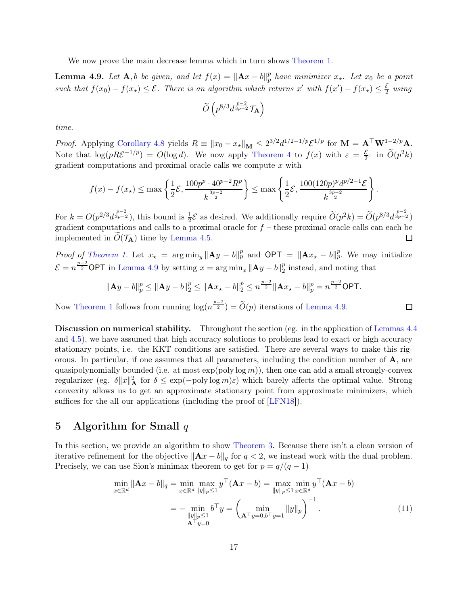<span id="page-17-1"></span>We now prove the main decrease lemma which in turn shows [Theorem 1.](#page-2-1)

**Lemma 4.9.** Let  $\mathbf{A}, b$  be given, and let  $f(x) = ||\mathbf{A}x - b||_p^p$  $_p^p$  have minimizer  $x_{\star}$ . Let  $x_0$  be a point such that  $f(x_0) - f(x_\star) \leq \mathcal{E}$ . There is an algorithm which returns x' with  $f(x') - f(x_\star) \leq \frac{\mathcal{E}}{2}$  $rac{\varepsilon}{2}$  using

$$
\widetilde{O}\left(p^{8/3}d^{\frac{p-2}{3p-2}}\mathcal{T}_{\mathbf{A}}\right)
$$

time.

*Proof.* Applying [Corollary 4.8](#page-16-1) yields  $R \equiv ||x_0 - x_{\star}||_{\mathbf{M}} \leq 2^{3/2} d^{1/2 - 1/p} \mathcal{E}^{1/p}$  for  $\mathbf{M} = \mathbf{A}^{\top} \mathbf{W}^{1-2/p} \mathbf{A}$ . Note that  $\log(pR\mathcal{E}^{-1/p}) = O(\log d)$ . We now apply [Theorem 4](#page-15-3) to  $f(x)$  with  $\varepsilon = \frac{\mathcal{E}}{2}$ : in  $\widetilde{O}(p^2k)$ gradient computations and proximal oracle calls we compute  $x$  with

$$
f(x) - f(x_{\star}) \le \max\left\{\frac{1}{2}\mathcal{E}, \frac{100p^p \cdot 40^{p-2}R^p}{k^{\frac{3p-2}{2}}}\right\} \le \max\left\{\frac{1}{2}\mathcal{E}, \frac{100(120p)^p d^{p/2-1}\mathcal{E}}{k^{\frac{3p-2}{2}}}\right\}.
$$

For  $k = O(p^{2/3}d^{\frac{p-2}{3p-2}})$ , this bound is  $\frac{1}{2}E$  as desired. We additionally require  $\widetilde{O}(p^2k) = \widetilde{O}(p^{8/3}d^{\frac{p-2}{3p-2}})$ gradient computations and calls to a proximal oracle for  $f$  – these proximal oracle calls can each be implemented in  $O(\mathcal{T}_{\mathbf{A}})$  time by [Lemma 4.5.](#page-15-1)  $\Box$ 

*Proof of [Theorem 1.](#page-2-1)* Let  $x_{\star} = \arg\min_y ||Ay - b||_p^p$  and  $\text{OPT} = ||Ax_{\star} - b||_p^p$ . We may initialize  $\mathcal{E} = n^{\frac{p-2}{2}} \textsf{OPT}$  in [Lemma 4.9](#page-17-1) by setting  $x = \arg \min_x ||A y - b||_2^p$  $_2^p$  instead, and noting that

$$
\|\mathbf{A}y - b\|_p^p \le \|\mathbf{A}y - b\|_2^p \le \|\mathbf{A}x_\star - b\|_2^p \le n^{\frac{p-2}{2}} \|\mathbf{A}x_\star - b\|_p^p = n^{\frac{p-2}{2}} \textsf{OPT}.
$$

<span id="page-17-2"></span> $\Box$ 

Now [Theorem 1](#page-2-1) follows from running  $\log(n^{\frac{p-2}{2}}) = \tilde{O}(p)$  iterations of [Lemma 4.9.](#page-17-1)

Discussion on numerical stability. Throughout the section (eg. in the application of [Lemmas 4.4](#page-15-0)) and [4.5\)](#page-15-1), we have assumed that high accuracy solutions to problems lead to exact or high accuracy stationary points, i.e. the KKT conditions are satisfied. There are several ways to make this rigorous. In particular, if one assumes that all parameters, including the condition number of  $\bf{A}$ , are quasipolynomially bounded (i.e. at most  $\exp(\text{poly}\log m)$ ), then one can add a small strongly-convex regularizer (eg.  $\delta ||x||_A^2$  for  $\delta \leq \exp(-\text{poly}\log m)\varepsilon$ ) which barely affects the optimal value. Strong convexity allows us to get an approximate stationary point from approximate minimizers, which suffices for the all our applications (including the proof of  $[LFN18]$ ).

## <span id="page-17-0"></span>5 Algorithm for Small  $q$

In this section, we provide an algorithm to show [Theorem 3.](#page-2-3) Because there isn't a clean version of iterative refinement for the objective  $\|\mathbf{A}x - b\|_q$  for  $q < 2$ , we instead work with the dual problem. Precisely, we can use Sion's minimax theorem to get for  $p = q/(q-1)$ 

$$
\min_{x \in \mathbb{R}^d} \|\mathbf{A}x - b\|_q = \min_{x \in \mathbb{R}^d} \max_{\|y\|_p \le 1} y^\top (\mathbf{A}x - b) = \max_{\|y\|_p \le 1} \min_{x \in \mathbb{R}^d} y^\top (\mathbf{A}x - b)
$$

$$
= -\min_{\|y\|_p \le 1} b^\top y = \left(\min_{\mathbf{A}^\top y = 0, b^\top y = 1} \|y\|_p\right)^{-1}.
$$
(11)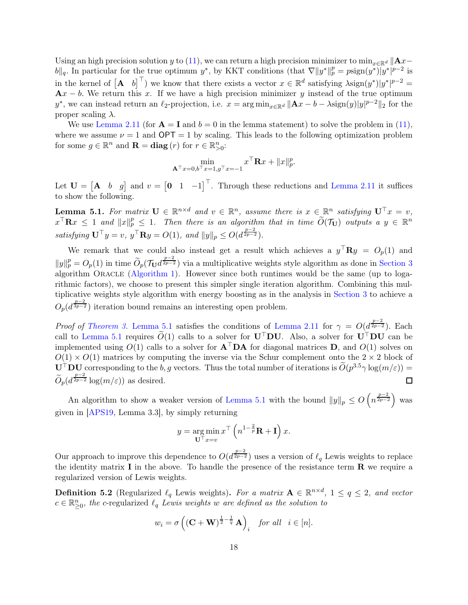Using an high precision solution y to [\(11\)](#page-17-2), we can return a high precision minimizer to min<sub>x∈Rd</sub>  $||\mathbf{A}x-\mathbf{A}x||$  $||b||_q$ . In particular for the true optimum y<sup>\*</sup>, by KKT conditions (that  $\nabla ||y^*||_p^p = p \text{sign}(y^*)|y^*|^{p-2}$  is in the kernel of  $\begin{bmatrix} A & b \end{bmatrix}^T$  we know that there exists a vector  $x \in \mathbb{R}^d$  satisfying  $\lambda$ sign $(y^*)|y^*|^{p-2}$  $Ax - b$ . We return this x. If we have a high precision minimizer y instead of the true optimum y<sup>\*</sup>, we can instead return an  $\ell_2$ -projection, i.e.  $x = \arg \min_{x \in \mathbb{R}^d} ||\mathbf{A}x - b - \lambda \operatorname{sign}(y)||y|^{p-2}||_2$  for the proper scaling  $\lambda$ .

We use [Lemma 2.11](#page-7-4) (for  $\mathbf{A} = \mathbf{I}$  and  $b = 0$  in the lemma statement) to solve the problem in [\(11\)](#page-17-2), where we assume  $\nu = 1$  and  $\text{OPT} = 1$  by scaling. This leads to the following optimization problem for some  $g \in \mathbb{R}^n$  and  $\mathbf{R} = \textbf{diag}(r)$  for  $r \in \mathbb{R}^n_{>0}$ :

$$
\min_{\mathbf{A}^\top x=0, b^\top x=1, g^\top x=-1} x^\top \mathbf{R} x + ||x||_p^p.
$$

<span id="page-18-1"></span>Let  $\mathbf{U} = \begin{bmatrix} \mathbf{A} & b & g \end{bmatrix}$  and  $v = \begin{bmatrix} 0 & 1 & -1 \end{bmatrix}^\top$ . Through these reductions and [Lemma 2.11](#page-7-4) it suffices to show the following.

**Lemma 5.1.** For matrix  $\mathbf{U} \in \mathbb{R}^{n \times d}$  and  $v \in \mathbb{R}^n$ , assume there is  $x \in \mathbb{R}^n$  satisfying  $\mathbf{U}^\top x = v$ ,  $x^{\top} \mathbf{R} x \leq 1$  and  $||x||_p^p \leq 1$ . Then there is an algorithm that in time  $\widetilde{O}(\mathcal{T}_U)$  outputs a  $y \in \mathbb{R}^n$ satisfying  $\mathbf{U}^\top y = v$ ,  $y^\top \mathbf{R}y = O(1)$ , and  $||y||_p \leq O(d^{\frac{p-2}{2p-2}})$ .

We remark that we could also instead get a result which achieves a  $y^{\top}$ **R** $y = O_p(1)$  and  $||y||_p^p = O_p(1)$  in time  $\widetilde{O}_p(\mathcal{T}_U d^{\frac{p-2}{2p-2}})$  via a multiplicative weights style algorithm as done in [Section 3](#page-7-0) algorithm ORACLE [\(Algorithm 1\)](#page-8-1). However since both runtimes would be the same (up to logarithmic factors), we choose to present this simpler single iteration algorithm. Combining this multiplicative weights style algorithm with energy boosting as in the analysis in [Section 3](#page-7-0) to achieve a  $O_p(d^{\frac{p-2}{3p-2}})$  iteration bound remains an interesting open problem.

*Proof of [Theorem 3.](#page-2-3)* [Lemma 5.1](#page-18-1) satisfies the conditions of [Lemma 2.11](#page-7-4) for  $\gamma = O(d^{\frac{p-2}{2p-2}})$ . Each call to [Lemma 5.1](#page-18-1) requires  $\widetilde{O}(1)$  calls to a solver for  $U^{\top}DU$ . Also, a solver for  $U^{\top}DU$  can be implemented using  $O(1)$  calls to a solver for  $A<sup>T</sup>DA$  for diagonal matrices D, and  $O(1)$  solves on  $O(1) \times O(1)$  matrices by computing the inverse via the Schur complement onto the  $2 \times 2$  block of  $\mathbf{U}^{\top}\mathbf{D}\mathbf{U}$  corresponding to the b, g vectors. Thus the total number of iterations is  $\widetilde{O}(p^{3.5}\gamma \log(m/\varepsilon))$  =  $\widetilde{O}_p(d^{\frac{p-2}{2p-2}}\log(m/\varepsilon))$  as desired. П

An algorithm to show a weaker version of [Lemma 5.1](#page-18-1) with the bound  $||y||_p \leq O\left(n^{\frac{p-2}{2p-2}}\right)$  was given in [\[APS19,](#page-21-2) Lemma 3.3], by simply returning

$$
y = \underset{\mathbf{U}^{\top} x = v}{\arg \min} x^{\top} \left( n^{1 - \frac{2}{p}} \mathbf{R} + \mathbf{I} \right) x.
$$

Our approach to improve this dependence to  $O(d^{\frac{p-2}{2p-2}})$  uses a version of  $\ell_q$  Lewis weights to replace the identity matrix  $\bf{I}$  in the above. To handle the presence of the resistance term  $\bf{R}$  we require a regularized version of Lewis weights.

<span id="page-18-0"></span>**Definition 5.2** (Regularized  $\ell_q$  Lewis weights). For a matrix  $\mathbf{A} \in \mathbb{R}^{n \times d}$ ,  $1 \le q \le 2$ , and vector  $c \in \mathbb{R}_{\geq 0}^n$ , the c-regularized  $\ell_q$  Lewis weights w are defined as the solution to

$$
w_i = \sigma \left( (\mathbf{C} + \mathbf{W})^{\frac{1}{2} - \frac{1}{q}} \mathbf{A} \right)_i
$$
 for all  $i \in [n]$ .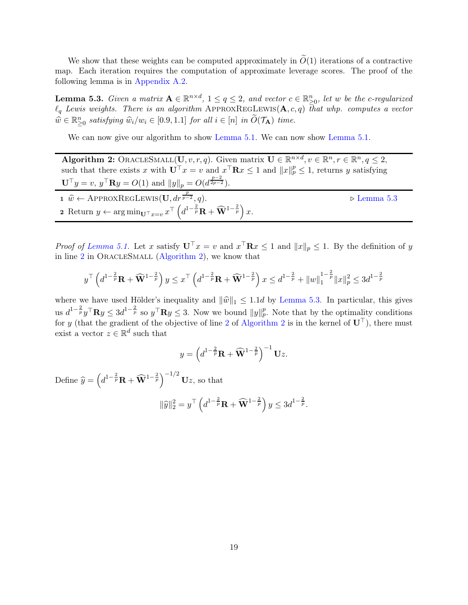We show that these weights can be computed approximately in  $\tilde{O}(1)$  iterations of a contractive map. Each iteration requires the computation of approximate leverage scores. The proof of the following lemma is in [Appendix A.2.](#page-27-0)

<span id="page-19-0"></span>**Lemma 5.3.** Given a matrix  $A \in \mathbb{R}^{n \times d}$ ,  $1 \le q \le 2$ , and vector  $c \in \mathbb{R}_{\geq 0}^n$ , let w be the c-regularized  $\ell_q$  Lewis weights. There is an algorithm APPROXREGLEWIS( $\mathbf{A}, c, q$ ) that whp. computes a vector  $\widehat{w} \in \mathbb{R}_{\geq 0}^n$  satisfying  $\widehat{w}_i/w_i \in [0.9, 1.1]$  for all  $i \in [n]$  in  $\widetilde{O}(\mathcal{T}_A)$  time.

We can now give our algorithm to show [Lemma 5.1.](#page-18-1) We can now show Lemma 5.1.

<span id="page-19-3"></span><span id="page-19-2"></span>Algorithm 2: ORACLESMALL $(\mathbf{U}, v, r, q)$ . Given matrix  $\mathbf{U} \in \mathbb{R}^{n \times d}, v \in \mathbb{R}^{n}, r \in \mathbb{R}^{n}, q \leq 2$ , such that there exists x with  $\mathbf{U}^{\top} x = v$  and  $x^{\top} \mathbf{R} x \leq 1$  and  $||x||_p^p \leq 1$ , returns y satisfying  $\mathbf{U}^{\top} y = v, y^{\top} \mathbf{R} y = O(1)$  and  $||y||_p = O(d^{\frac{p-2}{2p-2}})$ . 1  $\hat{w} \leftarrow$  ApproxRegLewis( $\mathbf{U}, dr^{\frac{p}{p-1}}$ <sup>p</sup>−<sup>2</sup> , q). ⊲ [Lemma 5.3](#page-19-0) 2 Return  $y \leftarrow \arg \min_{\mathbf{U}^{\top} x = v} x^{\top} \left( d^{1-\frac{2}{p}} \mathbf{R} + \widehat{\mathbf{W}}^{1-\frac{2}{p}} \right) x.$ 

<span id="page-19-1"></span>*Proof of [Lemma 5.1.](#page-18-1)* Let x satisfy  $U^{\top}x = v$  and  $x^{\top}Rx \le 1$  and  $||x||_p \le 1$ . By the definition of y in line [2](#page-19-1) in OracleSmall [\(Algorithm 2\)](#page-19-2), we know that

$$
y^{\top} \left( d^{1-\frac{2}{p}} \mathbf{R} + \widehat{\mathbf{W}}^{1-\frac{2}{p}} \right) y \leq x^{\top} \left( d^{1-\frac{2}{p}} \mathbf{R} + \widehat{\mathbf{W}}^{1-\frac{2}{p}} \right) x \leq d^{1-\frac{2}{p}} + ||w||_1^{1-\frac{2}{p}} ||x||_p^2 \leq 3d^{1-\frac{2}{p}}
$$

where we have used Hölder's inequality and  $\|\hat{w}\|_1 \leq 1.1d$  by [Lemma 5.3.](#page-19-0) In particular, this gives us  $d^{1-\frac{2}{p}}y^{\top}\mathbf{R}y \leq 3d^{1-\frac{2}{p}}$  so  $y^{\top}\mathbf{R}y \leq 3$ . Now we bound  $||y||_p^p$ . Note that by the optimality conditions for y (that the gradient of the objective of line [2](#page-19-1) of [Algorithm 2](#page-19-2) is in the kernel of  $U^{\top}$ ), there must exist a vector  $z \in \mathbb{R}^d$  such that

$$
y = \left(d^{1-\frac{2}{p}}\mathbf{R} + \widehat{\mathbf{W}}^{1-\frac{2}{p}}\right)^{-1}\mathbf{U}z.
$$

Define  $\widehat{y} = \left(d^{1-\frac{2}{p}}\mathbf{R} + \widehat{\mathbf{W}}^{1-\frac{2}{p}}\right)^{-1/2} \mathbf{U}z$ , so that

$$
\|\widehat{y}\|_2^2 = y^\top \left( d^{1-\frac{2}{p}} \mathbf{R} + \widehat{\mathbf{W}}^{1-\frac{2}{p}} \right) y \le 3 d^{1-\frac{2}{p}}.
$$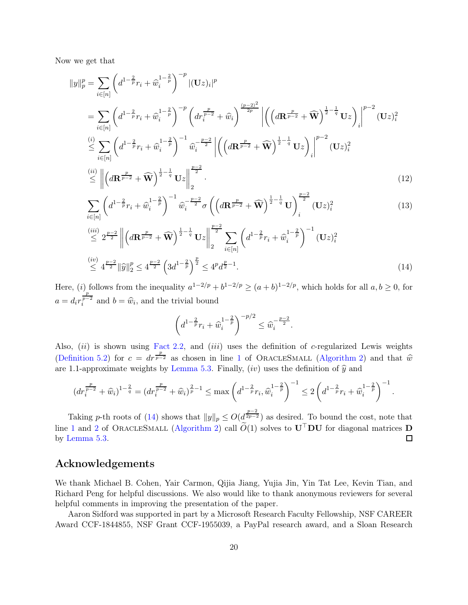Now we get that

$$
||y||_{p}^{p} = \sum_{i \in [n]} \left( d^{1 - \frac{2}{p}} r_{i} + \widehat{w}_{i}^{1 - \frac{2}{p}} \right)^{-p} |(\mathbf{U}z)_{i}|^{p}
$$
  
\n
$$
= \sum_{i \in [n]} \left( d^{1 - \frac{2}{p}} r_{i} + \widehat{w}_{i}^{1 - \frac{2}{p}} \right)^{-p} \left( dr_{i}^{\frac{p}{p-2}} + \widehat{w}_{i} \right)^{\frac{(p-2)^{2}}{2p}} \left| \left( \left( d\mathbf{R}^{\frac{p}{p-2}} + \widehat{\mathbf{W}} \right)^{\frac{1}{2} - \frac{1}{q}} \mathbf{U}z \right)_{i} \right|^{p-2} (\mathbf{U}z)_{i}^{2}
$$
  
\n
$$
\stackrel{(i)}{\leq} \sum_{i \in [n]} \left( d^{1 - \frac{2}{p}} r_{i} + \widehat{w}_{i}^{1 - \frac{2}{p}} \right)^{-1} \widehat{w}_{i}^{-\frac{p-2}{2}} \left| \left( \left( d\mathbf{R}^{\frac{p}{p-2}} + \widehat{\mathbf{W}} \right)^{\frac{1}{2} - \frac{1}{q}} \mathbf{U}z \right)_{i} \right|^{p-2} (\mathbf{U}z)_{i}^{2}
$$
  
\n
$$
\stackrel{(ii)}{\leq} \left\| \left( d\mathbf{R}^{\frac{p}{p-2}} + \widehat{\mathbf{W}} \right)^{\frac{1}{2} - \frac{1}{q}} \mathbf{U}z \right\|_{2}^{\frac{p-2}{2}}.
$$
\n(12)

$$
\sum_{i \in [n]} \left( d^{1 - \frac{2}{p}} r_i + \widehat{w}_i^{1 - \frac{2}{p}} \right)^{-1} \widehat{w}_i^{-\frac{p-2}{2}} \sigma \left( \left( d \mathbf{R}^{\frac{p}{p-2}} + \widehat{\mathbf{W}} \right)^{\frac{1}{2} - \frac{1}{q}} \mathbf{U} \right)_i^{\frac{p-2}{2}} (\mathbf{U} z)_i^2 \tag{13}
$$

$$
\stackrel{(iii)}{\leq} 2^{\frac{p-2}{2}} \left\| \left( d\mathbf{R}^{\frac{p}{p-2}} + \widehat{\mathbf{W}} \right)^{\frac{1}{2} - \frac{1}{q}} \mathbf{U} z \right\|_{2}^{\frac{p-2}{2}} \sum_{i \in [n]} \left( d^{1 - \frac{2}{p}} r_i + \widehat{w}_i^{1 - \frac{2}{p}} \right)^{-1} (\mathbf{U} z)_i^2
$$
\n
$$
\stackrel{(iv)}{\leq} 4^{\frac{p-2}{2}} \|\widehat{y}\|_{2}^p \leq 4^{\frac{p-2}{2}} \left( 3d^{1 - \frac{2}{p}} \right)^{\frac{p}{2}} \leq 4^p d^{\frac{p}{2} - 1}.
$$
\n(14)

Here, (i) follows from the inequality  $a^{1-2/p} + b^{1-2/p} \ge (a+b)^{1-2/p}$ , which holds for all  $a, b \ge 0$ , for  $a = d_i r$  $\frac{p}{p-2}$  $i^{p-2}$  and  $b = \hat{w}_i$ , and the trivial bound

<span id="page-20-0"></span>
$$
\left(d^{1-\frac{2}{p}}r_i+\widehat{w}_i^{1-\frac{2}{p}}\right)^{-p/2}\leq \widehat{w}_i^{-\frac{p-2}{2}}.
$$

Also,  $(ii)$  is shown using [Fact 2.2,](#page-6-3) and  $(iii)$  uses the definition of c-regularized Lewis weights [\(Definition 5.2\)](#page-18-0) for  $c = dr^{\frac{p}{p-2}}$  as chosen in line [1](#page-19-3) of OracleSmall [\(Algorithm 2\)](#page-19-2) and that  $\hat{w}$ are 1.1-approximate weights by [Lemma 5.3.](#page-19-0) Finally,  $(iv)$  uses the definition of  $\hat{y}$  and

$$
\left(dr_i^{\frac{p}{p-2}} + \widehat{w}_i\right)^{1-\frac{2}{q}} = \left(dr_i^{\frac{p}{p-2}} + \widehat{w}_i\right)^{\frac{2}{p}-1} \le \max\left(d^{1-\frac{2}{p}}r_i, \widehat{w}_i^{1-\frac{2}{p}}\right)^{-1} \le 2\left(d^{1-\frac{2}{p}}r_i + \widehat{w}_i^{1-\frac{2}{p}}\right)^{-1}.
$$

Taking p-th roots of [\(14\)](#page-20-0) shows that  $||y||_p \le O(d^{\frac{p-2}{2p-2}})$  as desired. To bound the cost, note that line [1](#page-19-3) and [2](#page-19-1) of ORACLESMALL [\(Algorithm 2\)](#page-19-2) call  $\widetilde{O}(1)$  solves to  $\mathbf{U}^{\top} \mathbf{D} \mathbf{U}$  for diagonal matrices  $\mathbf{D}$  by Lemma 5.3. by [Lemma 5.3.](#page-19-0)

## Acknowledgements

We thank Michael B. Cohen, Yair Carmon, Qijia Jiang, Yujia Jin, Yin Tat Lee, Kevin Tian, and Richard Peng for helpful discussions. We also would like to thank anonymous reviewers for several helpful comments in improving the presentation of the paper.

Aaron Sidford was supported in part by a Microsoft Research Faculty Fellowship, NSF CAREER Award CCF-1844855, NSF Grant CCF-1955039, a PayPal research award, and a Sloan Research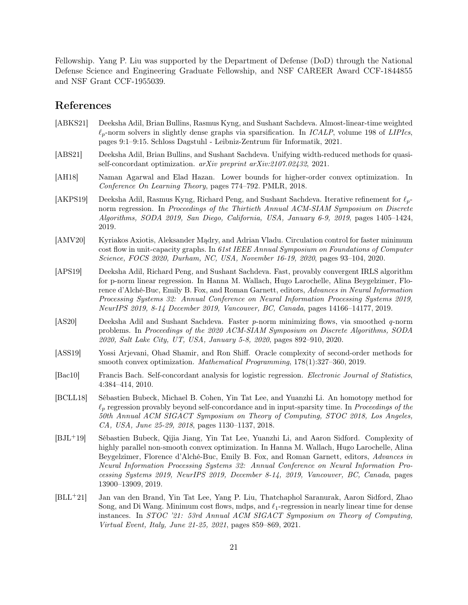Fellowship. Yang P. Liu was supported by the Department of Defense (DoD) through the National Defense Science and Engineering Graduate Fellowship, and NSF CAREER Award CCF-1844855 and NSF Grant CCF-1955039.

## References

- <span id="page-21-4"></span>[ABKS21] Deeksha Adil, Brian Bullins, Rasmus Kyng, and Sushant Sachdeva. Almost-linear-time weighted ℓp-norm solvers in slightly dense graphs via sparsification. In *ICALP*, volume 198 of *LIPIcs*, pages 9:1–9:15. Schloss Dagstuhl - Leibniz-Zentrum für Informatik, 2021.
- <span id="page-21-6"></span>[ABS21] Deeksha Adil, Brian Bullins, and Sushant Sachdeva. Unifying width-reduced methods for quasiself-concordant optimization. *arXiv preprint arXiv:2107.02432*, 2021.
- <span id="page-21-9"></span>[AH18] Naman Agarwal and Elad Hazan. Lower bounds for higher-order convex optimization. In *Conference On Learning Theory*, pages 774–792. PMLR, 2018.
- <span id="page-21-1"></span>[AKPS19] Deeksha Adil, Rasmus Kyng, Richard Peng, and Sushant Sachdeva. Iterative refinement for  $\ell_p$ norm regression. In *Proceedings of the Thirtieth Annual ACM-SIAM Symposium on Discrete Algorithms, SODA 2019, San Diego, California, USA, January 6-9, 2019*, pages 1405–1424, 2019.
- <span id="page-21-5"></span>[AMV20] Kyriakos Axiotis, Aleksander Mądry, and Adrian Vladu. Circulation control for faster minimum cost flow in unit-capacity graphs. In *61st IEEE Annual Symposium on Foundations of Computer Science, FOCS 2020, Durham, NC, USA, November 16-19, 2020*, pages 93–104, 2020.
- <span id="page-21-2"></span>[APS19] Deeksha Adil, Richard Peng, and Sushant Sachdeva. Fast, provably convergent IRLS algorithm for p-norm linear regression. In Hanna M. Wallach, Hugo Larochelle, Alina Beygelzimer, Florence d'Alché-Buc, Emily B. Fox, and Roman Garnett, editors, *Advances in Neural Information Processing Systems 32: Annual Conference on Neural Information Processing Systems 2019, NeurIPS 2019, 8-14 December 2019, Vancouver, BC, Canada*, pages 14166–14177, 2019.
- <span id="page-21-3"></span>[AS20] Deeksha Adil and Sushant Sachdeva. Faster *p*-norm minimizing flows, via smoothed *q*-norm problems. In *Proceedings of the 2020 ACM-SIAM Symposium on Discrete Algorithms, SODA 2020, Salt Lake City, UT, USA, January 5-8, 2020*, pages 892–910, 2020.
- <span id="page-21-10"></span>[ASS19] Yossi Arjevani, Ohad Shamir, and Ron Shiff. Oracle complexity of second-order methods for smooth convex optimization. *Mathematical Programming*, 178(1):327–360, 2019.
- <span id="page-21-8"></span>[Bac10] Francis Bach. Self-concordant analysis for logistic regression. *Electronic Journal of Statistics*, 4:384–414, 2010.
- <span id="page-21-0"></span>[BCLL18] Sébastien Bubeck, Michael B. Cohen, Yin Tat Lee, and Yuanzhi Li. An homotopy method for ℓ<sup>p</sup> regression provably beyond self-concordance and in input-sparsity time. In *Proceedings of the 50th Annual ACM SIGACT Symposium on Theory of Computing, STOC 2018, Los Angeles, CA, USA, June 25-29, 2018*, pages 1130–1137, 2018.
- <span id="page-21-7"></span>[BJL+19] Sébastien Bubeck, Qijia Jiang, Yin Tat Lee, Yuanzhi Li, and Aaron Sidford. Complexity of highly parallel non-smooth convex optimization. In Hanna M. Wallach, Hugo Larochelle, Alina Beygelzimer, Florence d'Alché-Buc, Emily B. Fox, and Roman Garnett, editors, *Advances in Neural Information Processing Systems 32: Annual Conference on Neural Information Processing Systems 2019, NeurIPS 2019, December 8-14, 2019, Vancouver, BC, Canada*, pages 13900–13909, 2019.
- <span id="page-21-11"></span>[BLL+21] Jan van den Brand, Yin Tat Lee, Yang P. Liu, Thatchaphol Saranurak, Aaron Sidford, Zhao Song, and Di Wang. Minimum cost flows, mdps, and  $\ell_1$ -regression in nearly linear time for dense instances. In *STOC '21: 53rd Annual ACM SIGACT Symposium on Theory of Computing, Virtual Event, Italy, June 21-25, 2021*, pages 859–869, 2021.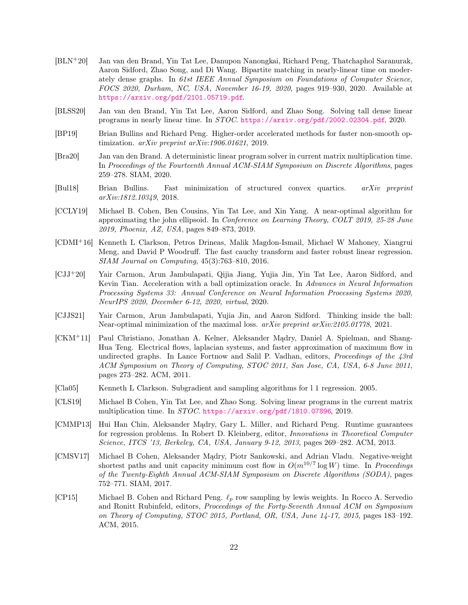- <span id="page-22-13"></span>[BLN+20] Jan van den Brand, Yin Tat Lee, Danupon Nanongkai, Richard Peng, Thatchaphol Saranurak, Aaron Sidford, Zhao Song, and Di Wang. Bipartite matching in nearly-linear time on moderately dense graphs. In *61st IEEE Annual Symposium on Foundations of Computer Science, FOCS 2020, Durham, NC, USA, November 16-19, 2020*, pages 919–930, 2020. Available at <https://arxiv.org/pdf/2101.05719.pdf>.
- <span id="page-22-12"></span>[BLSS20] Jan van den Brand, Yin Tat Lee, Aaron Sidford, and Zhao Song. Solving tall dense linear programs in nearly linear time. In *STOC*. <https://arxiv.org/pdf/2002.02304.pdf>, 2020.
- <span id="page-22-6"></span>[BP19] Brian Bullins and Richard Peng. Higher-order accelerated methods for faster non-smooth optimization. *arXiv preprint arXiv:1906.01621*, 2019.
- <span id="page-22-11"></span>[Bra20] Jan van den Brand. A deterministic linear program solver in current matrix multiplication time. In *Proceedings of the Fourteenth Annual ACM-SIAM Symposium on Discrete Algorithms*, pages 259–278. SIAM, 2020.
- <span id="page-22-7"></span>[Bul18] Brian Bullins. Fast minimization of structured convex quartics. *arXiv preprint arXiv:1812.10349*, 2018.
- <span id="page-22-14"></span>[CCLY19] Michael B. Cohen, Ben Cousins, Yin Tat Lee, and Xin Yang. A near-optimal algorithm for approximating the john ellipsoid. In *Conference on Learning Theory, COLT 2019, 25-28 June 2019, Phoenix, AZ, USA*, pages 849–873, 2019.
- <span id="page-22-3"></span>[CDMI+16] Kenneth L Clarkson, Petros Drineas, Malik Magdon-Ismail, Michael W Mahoney, Xiangrui Meng, and David P Woodruff. The fast cauchy transform and faster robust linear regression. *SIAM Journal on Computing*, 45(3):763–810, 2016.
- <span id="page-22-1"></span>[CJJ+20] Yair Carmon, Arun Jambulapati, Qijia Jiang, Yujia Jin, Yin Tat Lee, Aaron Sidford, and Kevin Tian. Acceleration with a ball optimization oracle. In *Advances in Neural Information Processing Systems 33: Annual Conference on Neural Information Processing Systems 2020, NeurIPS 2020, December 6-12, 2020, virtual*, 2020.
- <span id="page-22-5"></span>[CJJS21] Yair Carmon, Arun Jambulapati, Yujia Jin, and Aaron Sidford. Thinking inside the ball: Near-optimal minimization of the maximal loss. *arXiv preprint arXiv:2105.01778*, 2021.
- <span id="page-22-8"></span>[CKM+11] Paul Christiano, Jonathan A. Kelner, Aleksander Mądry, Daniel A. Spielman, and Shang-Hua Teng. Electrical flows, laplacian systems, and faster approximation of maximum flow in undirected graphs. In Lance Fortnow and Salil P. Vadhan, editors, *Proceedings of the 43rd ACM Symposium on Theory of Computing, STOC 2011, San Jose, CA, USA, 6-8 June 2011*, pages 273–282. ACM, 2011.
- <span id="page-22-4"></span>[Cla05] Kenneth L Clarkson. Subgradient and sampling algorithms for l 1 regression. 2005.
- <span id="page-22-10"></span>[CLS19] Michael B Cohen, Yin Tat Lee, and Zhao Song. Solving linear programs in the current matrix multiplication time. In *STOC*. <https://arxiv.org/pdf/1810.07896>, 2019.
- <span id="page-22-0"></span>[CMMP13] Hui Han Chin, Aleksander Mądry, Gary L. Miller, and Richard Peng. Runtime guarantees for regression problems. In Robert D. Kleinberg, editor, *Innovations in Theoretical Computer Science, ITCS '13, Berkeley, CA, USA, January 9-12, 2013*, pages 269–282. ACM, 2013.
- <span id="page-22-9"></span>[CMSV17] Michael B Cohen, Aleksander Mądry, Piotr Sankowski, and Adrian Vladu. Negative-weight shortest paths and unit capacity minimum cost flow in  $O(m^{10/7} \log W)$  time. In *Proceedings of the Twenty-Eighth Annual ACM-SIAM Symposium on Discrete Algorithms (SODA)*, pages 752–771. SIAM, 2017.
- <span id="page-22-2"></span>[CP15] Michael B. Cohen and Richard Peng.  $\ell_p$  row sampling by lewis weights. In Rocco A. Servedio and Ronitt Rubinfeld, editors, *Proceedings of the Forty-Seventh Annual ACM on Symposium on Theory of Computing, STOC 2015, Portland, OR, USA, June 14-17, 2015*, pages 183–192. ACM, 2015.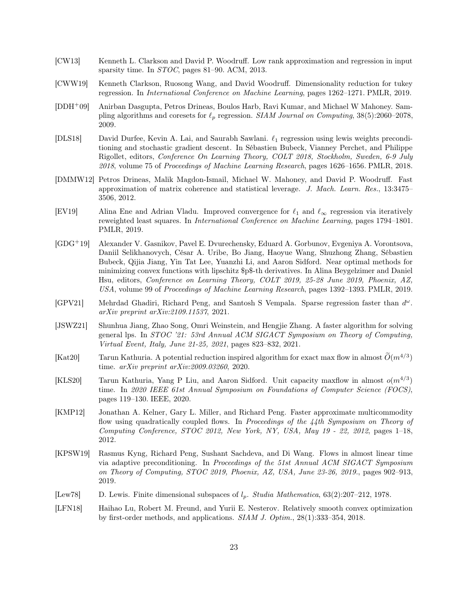- <span id="page-23-6"></span>[CW13] Kenneth L. Clarkson and David P. Woodruff. Low rank approximation and regression in input sparsity time. In *STOC*, pages 81–90. ACM, 2013.
- <span id="page-23-7"></span>[CWW19] Kenneth Clarkson, Ruosong Wang, and David Woodruff. Dimensionality reduction for tukey regression. In *International Conference on Machine Learning*, pages 1262–1271. PMLR, 2019.
- <span id="page-23-5"></span>[DDH+09] Anirban Dasgupta, Petros Drineas, Boulos Harb, Ravi Kumar, and Michael W Mahoney. Sampling algorithms and coresets for ℓ<sup>p</sup> regression. *SIAM Journal on Computing*, 38(5):2060–2078, 2009.
- <span id="page-23-0"></span>[DLS18] David Durfee, Kevin A. Lai, and Saurabh Sawlani. ℓ<sup>1</sup> regression using lewis weights preconditioning and stochastic gradient descent. In Sébastien Bubeck, Vianney Perchet, and Philippe Rigollet, editors, *Conference On Learning Theory, COLT 2018, Stockholm, Sweden, 6-9 July 2018*, volume 75 of *Proceedings of Machine Learning Research*, pages 1626–1656. PMLR, 2018.
- <span id="page-23-14"></span>[DMMW12] Petros Drineas, Malik Magdon-Ismail, Michael W. Mahoney, and David P. Woodruff. Fast approximation of matrix coherence and statistical leverage. *J. Mach. Learn. Res.*, 13:3475– 3506, 2012.
- <span id="page-23-1"></span>[EV19] Alina Ene and Adrian Vladu. Improved convergence for  $\ell_1$  and  $\ell_\infty$  regression via iteratively reweighted least squares. In *International Conference on Machine Learning*, pages 1794–1801. PMLR, 2019.
- <span id="page-23-9"></span>[GDG+19] Alexander V. Gasnikov, Pavel E. Dvurechensky, Eduard A. Gorbunov, Evgeniya A. Vorontsova, Daniil Selikhanovych, César A. Uribe, Bo Jiang, Haoyue Wang, Shuzhong Zhang, Sébastien Bubeck, Qijia Jiang, Yin Tat Lee, Yuanzhi Li, and Aaron Sidford. Near optimal methods for minimizing convex functions with lipschitz \$p\$-th derivatives. In Alina Beygelzimer and Daniel Hsu, editors, *Conference on Learning Theory, COLT 2019, 25-28 June 2019, Phoenix, AZ, USA*, volume 99 of *Proceedings of Machine Learning Research*, pages 1392–1393. PMLR, 2019.
- <span id="page-23-8"></span>[GPV21] Mehrdad Ghadiri, Richard Peng, and Santosh S Vempala. Sparse regression faster than  $d^{\omega}$ . *arXiv preprint arXiv:2109.11537*, 2021.
- <span id="page-23-12"></span>[JSWZ21] Shunhua Jiang, Zhao Song, Omri Weinstein, and Hengjie Zhang. A faster algorithm for solving general lps. In *STOC '21: 53rd Annual ACM SIGACT Symposium on Theory of Computing, Virtual Event, Italy, June 21-25, 2021*, pages 823–832, 2021.
- <span id="page-23-11"></span>[Kat20] Tarun Kathuria. A potential reduction inspired algorithm for exact max flow in almost  $\tilde{O}(m^{4/3})$ time. *arXiv preprint arXiv:2009.03260*, 2020.
- <span id="page-23-3"></span>[KLS20] Tarun Kathuria, Yang P Liu, and Aaron Sidford. Unit capacity maxflow in almost  $o(m^{4/3})$ time. In *2020 IEEE 61st Annual Symposium on Foundations of Computer Science (FOCS)*, pages 119–130. IEEE, 2020.
- <span id="page-23-10"></span>[KMP12] Jonathan A. Kelner, Gary L. Miller, and Richard Peng. Faster approximate multicommodity flow using quadratically coupled flows. In *Proceedings of the 44th Symposium on Theory of Computing Conference, STOC 2012, New York, NY, USA, May 19 - 22, 2012*, pages 1–18, 2012.
- <span id="page-23-2"></span>[KPSW19] Rasmus Kyng, Richard Peng, Sushant Sachdeva, and Di Wang. Flows in almost linear time via adaptive preconditioning. In *Proceedings of the 51st Annual ACM SIGACT Symposium on Theory of Computing, STOC 2019, Phoenix, AZ, USA, June 23-26, 2019.*, pages 902–913, 2019.
- <span id="page-23-4"></span>[Lew78] D. Lewis. Finite dimensional subspaces of lp. *Studia Mathematica*, 63(2):207–212, 1978.
- <span id="page-23-13"></span>[LFN18] Haihao Lu, Robert M. Freund, and Yurii E. Nesterov. Relatively smooth convex optimization by first-order methods, and applications. *SIAM J. Optim.*, 28(1):333–354, 2018.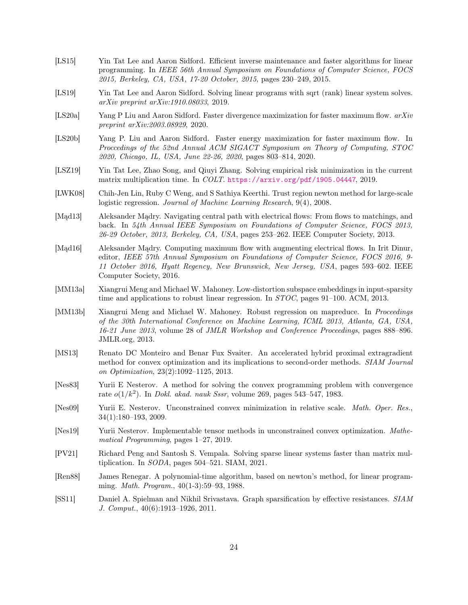- <span id="page-24-1"></span>[LS15] Yin Tat Lee and Aaron Sidford. Efficient inverse maintenance and faster algorithms for linear programming. In *IEEE 56th Annual Symposium on Foundations of Computer Science, FOCS 2015, Berkeley, CA, USA, 17-20 October, 2015*, pages 230–249, 2015.
- <span id="page-24-3"></span>[LS19] Yin Tat Lee and Aaron Sidford. Solving linear programs with sqrt (rank) linear system solves. *arXiv preprint arXiv:1910.08033*, 2019.
- <span id="page-24-13"></span>[LS20a] Yang P Liu and Aaron Sidford. Faster divergence maximization for faster maximum flow. *arXiv preprint arXiv:2003.08929*, 2020.
- <span id="page-24-4"></span>[LS20b] Yang P. Liu and Aaron Sidford. Faster energy maximization for faster maximum flow. In *Proccedings of the 52nd Annual ACM SIGACT Symposium on Theory of Computing, STOC 2020, Chicago, IL, USA, June 22-26, 2020*, pages 803–814, 2020.
- <span id="page-24-14"></span>[LSZ19] Yin Tat Lee, Zhao Song, and Qiuyi Zhang. Solving empirical risk minimization in the current matrix multiplication time. In *COLT*. <https://arxiv.org/pdf/1905.04447>, 2019.
- <span id="page-24-7"></span>[LWK08] Chih-Jen Lin, Ruby C Weng, and S Sathiya Keerthi. Trust region newton method for large-scale logistic regression. *Journal of Machine Learning Research*, 9(4), 2008.
- <span id="page-24-11"></span>[Mąd13] Aleksander Mądry. Navigating central path with electrical flows: From flows to matchings, and back. In *54th Annual IEEE Symposium on Foundations of Computer Science, FOCS 2013, 26-29 October, 2013, Berkeley, CA, USA*, pages 253–262. IEEE Computer Society, 2013.
- <span id="page-24-12"></span>[Mad16] Aleksander Madry. Computing maximum flow with augmenting electrical flows. In Irit Dinur, editor, *IEEE 57th Annual Symposium on Foundations of Computer Science, FOCS 2016, 9- 11 October 2016, Hyatt Regency, New Brunswick, New Jersey, USA*, pages 593–602. IEEE Computer Society, 2016.
- <span id="page-24-5"></span>[MM13a] Xiangrui Meng and Michael W. Mahoney. Low-distortion subspace embeddings in input-sparsity time and applications to robust linear regression. In *STOC*, pages 91–100. ACM, 2013.
- <span id="page-24-0"></span>[MM13b] Xiangrui Meng and Michael W. Mahoney. Robust regression on mapreduce. In *Proceedings of the 30th International Conference on Machine Learning, ICML 2013, Atlanta, GA, USA, 16-21 June 2013*, volume 28 of *JMLR Workshop and Conference Proceedings*, pages 888–896. JMLR.org, 2013.
- <span id="page-24-9"></span>[MS13] Renato DC Monteiro and Benar Fux Svaiter. An accelerated hybrid proximal extragradient method for convex optimization and its implications to second-order methods. *SIAM Journal on Optimization*, 23(2):1092–1125, 2013.
- <span id="page-24-8"></span>[Nes83] Yurii E Nesterov. A method for solving the convex programming problem with convergence rate o(1/k<sup>2</sup> ). In *Dokl. akad. nauk Sssr*, volume 269, pages 543–547, 1983.
- <span id="page-24-6"></span>[Nes09] Yurii E. Nesterov. Unconstrained convex minimization in relative scale. *Math. Oper. Res.*, 34(1):180–193, 2009.
- <span id="page-24-10"></span>[Nes19] Yurii Nesterov. Implementable tensor methods in unconstrained convex optimization. *Mathematical Programming*, pages 1–27, 2019.
- [PV21] Richard Peng and Santosh S. Vempala. Solving sparse linear systems faster than matrix multiplication. In *SODA*, pages 504–521. SIAM, 2021.
- <span id="page-24-2"></span>[Ren88] James Renegar. A polynomial-time algorithm, based on newton's method, for linear programming. *Math. Program.*, 40(1-3):59–93, 1988.
- <span id="page-24-15"></span>[SS11] Daniel A. Spielman and Nikhil Srivastava. Graph sparsification by effective resistances. *SIAM J. Comput.*, 40(6):1913–1926, 2011.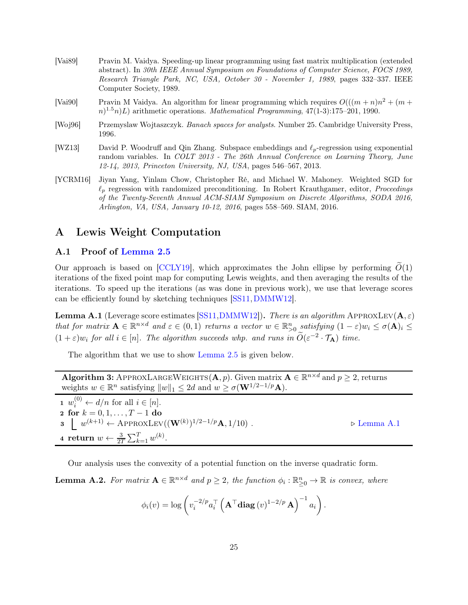- <span id="page-25-2"></span>[Vai89] Pravin M. Vaidya. Speeding-up linear programming using fast matrix multiplication (extended abstract). In *30th IEEE Annual Symposium on Foundations of Computer Science, FOCS 1989, Research Triangle Park, NC, USA, October 30 - November 1, 1989*, pages 332–337. IEEE Computer Society, 1989.
- <span id="page-25-3"></span>[Vai90] Pravin M Vaidya. An algorithm for linear programming which requires  $O(((m + n)n^2 + (m +$  $(n)^{1.5}n)L$  arithmetic operations. *Mathematical Programming*, 47(1-3):175–201, 1990.
- <span id="page-25-4"></span>[Woj96] Przemyslaw Wojtaszczyk. *Banach spaces for analysts*. Number 25. Cambridge University Press, 1996.
- <span id="page-25-0"></span>[WZ13] David P. Woodruff and Qin Zhang. Subspace embeddings and ℓp-regression using exponential random variables. In *COLT 2013 - The 26th Annual Conference on Learning Theory, June 12-14, 2013, Princeton University, NJ, USA*, pages 546–567, 2013.
- <span id="page-25-1"></span>[YCRM16] Jiyan Yang, Yinlam Chow, Christopher Ré, and Michael W. Mahoney. Weighted SGD for ℓ<sup>p</sup> regression with randomized preconditioning. In Robert Krauthgamer, editor, *Proceedings of the Twenty-Seventh Annual ACM-SIAM Symposium on Discrete Algorithms, SODA 2016, Arlington, VA, USA, January 10-12, 2016*, pages 558–569. SIAM, 2016.

## <span id="page-25-6"></span><span id="page-25-5"></span>A Lewis Weight Computation

#### A.1 Proof of [Lemma 2.5](#page-6-1)

Our approach is based on [\[CCLY19\]](#page-22-14), which approximates the John ellipse by performing  $\tilde{O}(1)$ iterations of the fixed point map for computing Lewis weights, and then averaging the results of the iterations. To speed up the iterations (as was done in previous work), we use that leverage scores can be efficiently found by sketching techniques [\[SS11,](#page-24-15)[DMMW12\]](#page-23-14).

<span id="page-25-8"></span>**Lemma A.1** (Leverage score estimates [\[SS11,](#page-24-15) [DMMW12\]](#page-23-14)). There is an algorithm APPROXLEV( $\mathbf{A}, \varepsilon$ ) that for matrix  $\mathbf{A} \in \mathbb{R}^{n \times d}$  and  $\varepsilon \in (0,1)$  returns a vector  $w \in \mathbb{R}_{>0}^n$  satisfying  $(1-\varepsilon)w_i \leq \sigma(\mathbf{A})_i \leq$  $(1+\varepsilon)w_i$  for all  $i \in [n]$ . The algorithm succeeds whp. and runs in  $\widetilde{O}(\varepsilon^{-2} \cdot \mathcal{T}_A)$  time.

The algorithm that we use to show [Lemma 2.5](#page-6-1) is given below.

Algorithm 3: APPROXLARGEWEIGHTS $(A, p)$ . Given matrix  $A \in \mathbb{R}^{n \times d}$  and  $p \geq 2$ , returns weights  $w \in \mathbb{R}^n$  satisfying  $||w||_1 \leq 2d$  and  $w \geq \sigma(\mathbf{W}^{1/2-1/p}\mathbf{A}).$ 

<span id="page-25-7"></span> $\mathbf{1} \ \ w_i^{(0)} \leftarrow d/n \text{ for all } i \in [n].$ 2 for  $k = 0, 1, ..., T - 1$  do 3  $\downarrow w^{(k+1)} \leftarrow$  APPROXLEV((**W**<sup>(k)</sup>)<sup>1/2−1/p</sup>**A**, 1/10). ⊳ [Lemma A.1](#page-25-8) 4 return  $w \leftarrow \frac{3}{2T} \sum_{k=1}^{T} w^{(k)}$ .

<span id="page-25-9"></span>Our analysis uses the convexity of a potential function on the inverse quadratic form.

**Lemma A.2.** For matrix  $A \in \mathbb{R}^{n \times d}$  and  $p \geq 2$ , the function  $\phi_i : \mathbb{R}^n_{\geq 0} \to \mathbb{R}$  is convex, where

$$
\phi_i(v) = \log \left( v_i^{-2/p} a_i^\top \left( \mathbf{A}^\top \mathbf{diag}\left(v\right)^{1-2/p} \mathbf{A} \right)^{-1} a_i \right).
$$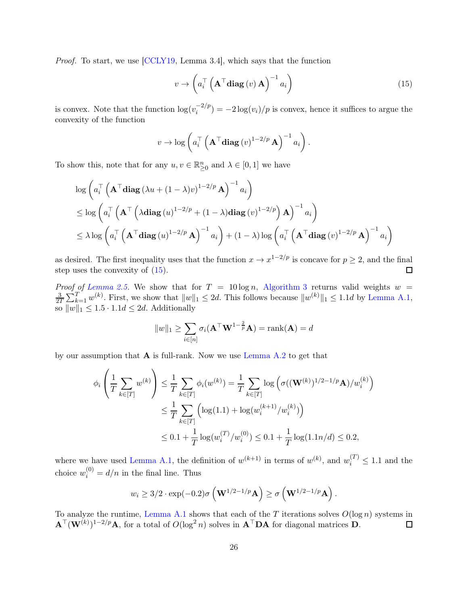Proof. To start, we use [\[CCLY19,](#page-22-14) Lemma 3.4], which says that the function

<span id="page-26-0"></span>
$$
v \to \left( a_i^\top \left( \mathbf{A}^\top \mathbf{diag}\left(v\right) \mathbf{A}\right)^{-1} a_i \right) \tag{15}
$$

is convex. Note that the function  $\log(v_i^{-2/p})$  $\int_{i}^{-2/p}$ ) =  $-2\log(v_i)/p$  is convex, hence it suffices to argue the convexity of the function

$$
v \to \log\left(a_i^{\top} \left(\mathbf{A}^{\top} \mathbf{diag}\left(v\right)^{1-2/p} \mathbf{A}\right)^{-1} a_i\right).
$$

To show this, note that for any  $u, v \in \mathbb{R}^n_{\geq 0}$  and  $\lambda \in [0, 1]$  we have

$$
\log\left(a_i^\top \left(\mathbf{A}^\top \mathbf{diag}(\lambda u + (1-\lambda)v)^{1-2/p}\mathbf{A}\right)^{-1}a_i\right)
$$
  
\n
$$
\leq \log\left(a_i^\top \left(\mathbf{A}^\top \left(\lambda \mathbf{diag}(u)^{1-2/p} + (1-\lambda)\mathbf{diag}(v)^{1-2/p}\right)\mathbf{A}\right)^{-1}a_i\right)
$$
  
\n
$$
\leq \lambda \log\left(a_i^\top \left(\mathbf{A}^\top \mathbf{diag}(u)^{1-2/p}\mathbf{A}\right)^{-1}a_i\right) + (1-\lambda)\log\left(a_i^\top \left(\mathbf{A}^\top \mathbf{diag}(v)^{1-2/p}\mathbf{A}\right)^{-1}a_i\right)
$$

as desired. The first inequality uses that the function  $x \to x^{1-2/p}$  is concave for  $p \ge 2$ , and the final step uses the convexity of [\(15\)](#page-26-0).

*Proof of [Lemma 2.5.](#page-6-1)* We show that for  $T = 10 \log n$ , [Algorithm 3](#page-25-7) returns valid weights  $w =$ 3  $\frac{3}{2T}\sum_{k=1}^{T} w^{(k)}$ . First, we show that  $||w||_1 \leq 2d$ . This follows because  $||w^{(k)}||_1 \leq 1.1d$  by [Lemma A.1,](#page-25-8) so  $||w||_1 \leq 1.5 \cdot 1.1d \leq 2d$ . Additionally

$$
||w||_1 \ge \sum_{i \in [n]} \sigma_i(\mathbf{A}^\top \mathbf{W}^{1-\frac{2}{p}} \mathbf{A}) = \text{rank}(\mathbf{A}) = d
$$

by our assumption that  $\bf{A}$  is full-rank. Now we use [Lemma A.2](#page-25-9) to get that

$$
\phi_i\left(\frac{1}{T}\sum_{k\in[T]} w^{(k)}\right) \leq \frac{1}{T}\sum_{k\in[T]} \phi_i(w^{(k)}) = \frac{1}{T}\sum_{k\in[T]} \log\left(\sigma((\mathbf{W}^{(k)})^{1/2-1/p}\mathbf{A})/w_i^{(k)}\right)
$$
  

$$
\leq \frac{1}{T}\sum_{k\in[T]} \left(\log(1.1) + \log(w_i^{(k+1)}/w_i^{(k)})\right)
$$
  

$$
\leq 0.1 + \frac{1}{T}\log(w_i^{(T)}/w_i^{(0)}) \leq 0.1 + \frac{1}{T}\log(1.1n/d) \leq 0.2,
$$

where we have used [Lemma A.1,](#page-25-8) the definition of  $w^{(k+1)}$  in terms of  $w^{(k)}$ , and  $w_i^{(T)} \leq 1.1$  and the choice  $w_i^{(0)} = d/n$  in the final line. Thus

$$
w_i \ge 3/2 \cdot \exp(-0.2) \sigma \left(\mathbf{W}^{1/2-1/p} \mathbf{A}\right) \ge \sigma \left(\mathbf{W}^{1/2-1/p} \mathbf{A}\right).
$$

To analyze the runtime, [Lemma A.1](#page-25-8) shows that each of the T iterations solves  $O(\log n)$  systems in  $\mathbf{A}^{\top}(\mathbf{W}^{(k)})^{1-2/p}\mathbf{A}$ , for a total of  $O(\log^2 n)$  solves in  $\mathbf{A}^{\top}\mathbf{D}\mathbf{A}$  for diagonal matrices  $\mathbf{D}$ .  $\Box$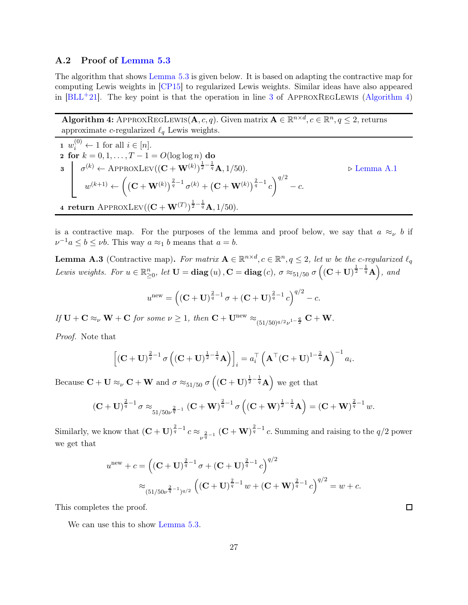#### <span id="page-27-0"></span>A.2 Proof of [Lemma 5.3](#page-19-0)

The algorithm that shows [Lemma 5.3](#page-19-0) is given below. It is based on adapting the contractive map for computing Lewis weights in [\[CP15\]](#page-22-2) to regularized Lewis weights. Similar ideas have also appeared in  $[BLL+21]$ . The key point is that the operation in line [3](#page-27-1) of APPROXREGLEWIS [\(Algorithm 4\)](#page-27-2)

Algorithm 4: APPROXREGLEWIS $(A, c, q)$ . Given matrix  $A \in \mathbb{R}^{n \times d}$ ,  $c \in \mathbb{R}^n$ ,  $q \leq 2$ , returns approximate c-regularized  $\ell_q$  Lewis weights.

<span id="page-27-2"></span><span id="page-27-1"></span>1 
$$
w_i^{(0)} \leftarrow
$$
 1 for all  $i \in [n]$ .  
\n2 for  $k = 0, 1, ..., T - 1 = O(\log \log n)$  do  
\n3  $\sigma^{(k)} \leftarrow$  APPROXLEV( $(\mathbf{C} + \mathbf{W}^{(k)})^{\frac{1}{2} - \frac{1}{q}} \mathbf{A}, 1/50$ ).  
\n $w^{(k+1)} \leftarrow ((\mathbf{C} + \mathbf{W}^{(k)})^{\frac{2}{q} - 1} \sigma^{(k)} + (\mathbf{C} + \mathbf{W}^{(k)})^{\frac{2}{q} - 1} c)^{q/2} - c.$   
\n4 return APPROXLEV( $(\mathbf{C} + \mathbf{W}^{(T)})^{\frac{1}{2} - \frac{1}{q}} \mathbf{A}, 1/50$ ).  
\n5. Lemma A.1

<span id="page-27-4"></span><span id="page-27-3"></span>is a contractive map. For the purposes of the lemma and proof below, we say that  $a \approx_{\nu} b$  if  $\nu^{-1}a \leq b \leq \nu b$ . This way  $a \approx_1 b$  means that  $a = b$ .

**Lemma A.3** (Contractive map). For matrix  $A \in \mathbb{R}^{n \times d}$ ,  $c \in \mathbb{R}^n$ ,  $q \leq 2$ , let w be the c-regularized  $\ell_q$ Lewis weights. For  $u \in \mathbb{R}_{\geq 0}^n$ , let  $\mathbf{U} = \text{diag}(u)$ ,  $\mathbf{C} = \text{diag}(c)$ ,  $\sigma \approx_{51/50} \sigma \left( (\mathbf{C} + \mathbf{U})^{\frac{1}{2} - \frac{1}{q}} \mathbf{A} \right)$ , and

$$
u^{\text{new}} = \left( (\mathbf{C} + \mathbf{U})^{\frac{2}{q}-1} \sigma + (\mathbf{C} + \mathbf{U})^{\frac{2}{q}-1} c \right)^{q/2} - c.
$$

If  $\mathbf{U} + \mathbf{C} \approx_{\nu} \mathbf{W} + \mathbf{C}$  for some  $\nu \geq 1$ , then  $\mathbf{C} + \mathbf{U}^{\text{new}} \approx_{(51/50)^{q/2}\nu^{1-\frac{q}{2}}} \mathbf{C} + \mathbf{W}$ .

Proof. Note that

$$
\left[ \left( \mathbf{C} + \mathbf{U} \right)^{\frac{2}{q}-1} \sigma \left( \left( \mathbf{C} + \mathbf{U} \right)^{\frac{1}{2}-\frac{1}{q}} \mathbf{A} \right) \right]_i = a_i^{\top} \left( \mathbf{A}^{\top} (\mathbf{C} + \mathbf{U})^{1-\frac{2}{q}} \mathbf{A} \right)^{-1} a_i.
$$

Because  $C + U \approx_{\nu} C + W$  and  $\sigma \approx_{51/50} \sigma \left( (C + U)^{\frac{1}{2} - \frac{1}{q}} A \right)$  we get that

$$
(\mathbf{C} + \mathbf{U})^{\frac{2}{q}-1} \sigma \approx_{51/50\nu^{\frac{2}{q}-1}} (\mathbf{C} + \mathbf{W})^{\frac{2}{q}-1} \sigma ((\mathbf{C} + \mathbf{W})^{\frac{1}{2}-\frac{1}{q}} \mathbf{A}) = (\mathbf{C} + \mathbf{W})^{\frac{2}{q}-1} w.
$$

Similarly, we know that  $(C + U)^{\frac{2}{q}-1} c \approx_{\frac{2}{\nu^{q}-1}} (C + W)^{\frac{2}{q}-1} c$ . Summing and raising to the  $q/2$  power we get that

$$
u^{\text{new}} + c = \left( (\mathbf{C} + \mathbf{U})^{\frac{2}{q}-1} \sigma + (\mathbf{C} + \mathbf{U})^{\frac{2}{q}-1} c \right)^{q/2}
$$
  

$$
\approx \frac{1}{(51/50\nu^{\frac{2}{q}-1})^{q/2}} \left( (\mathbf{C} + \mathbf{U})^{\frac{2}{q}-1} w + (\mathbf{C} + \mathbf{W})^{\frac{2}{q}-1} c \right)^{q/2} = w + c.
$$

This completes the proof.

We can use this to show [Lemma 5.3.](#page-19-0)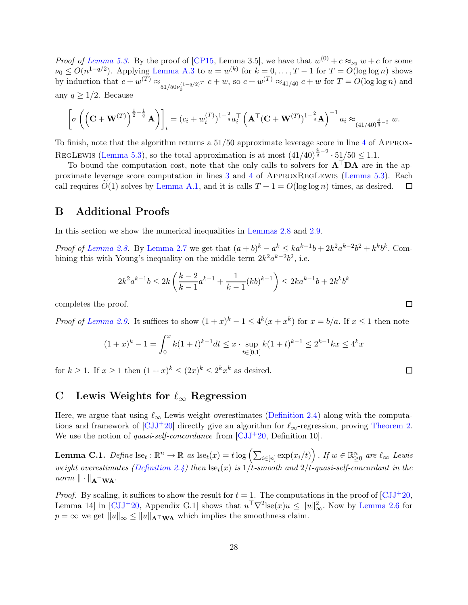*Proof of [Lemma 5.3.](#page-19-0)* By the proof of [\[CP15,](#page-22-2) Lemma 3.5], we have that  $w^{(0)} + c \approx_{\nu_0} w + c$  for some  $\nu_0 \leq O(n^{1-q/2})$ . Applying [Lemma A.3](#page-27-3) to  $u = w^{(k)}$  for  $k = 0, \ldots, T-1$  for  $T = O(\log \log n)$  shows by induction that  $c + w^{(T)} \approx_{51/50\nu_0^{(1-q/2)}} r \ c + w$ , so  $c + w^{(T)} \approx_{41/40} c + w$  for  $T = O(\log \log n)$  and any  $q \geq 1/2$ . Because

$$
\left[\sigma\left(\left(\mathbf{C}+\mathbf{W}^{(T)}\right)^{\frac{1}{2}-\frac{1}{q}}\mathbf{A}\right)\right]_i = (c_i + w_i^{(T)})^{1-\frac{2}{q}}a_i^{\top}\left(\mathbf{A}^{\top}(\mathbf{C}+\mathbf{W}^{(T)})^{1-\frac{2}{q}}\mathbf{A}\right)^{-1}a_i \approx_{(41/40)^{\frac{4}{q}-2}} w.
$$

To finish, note that the algorithm returns a 51/50 approximate leverage score in line [4](#page-27-4) of Approx-REGLEWIS [\(Lemma 5.3\)](#page-19-0), so the total approximation is at most  $(41/40)^{\frac{4}{q}-2} \cdot 51/50 \leq 1.1$ .

To bound the computation cost, note that the only calls to solvers for  $A^{\top}DA$  are in the approximate leverage score computation in lines [3](#page-27-1) and [4](#page-27-4) of ApproxRegLewis [\(Lemma 5.3\)](#page-19-0). Each call requires  $O(1)$  solves by [Lemma A.1,](#page-25-8) and it is calls  $T + 1 = O(\log \log n)$  times, as desired.  $\Box$ 

## <span id="page-28-1"></span>B Additional Proofs

In this section we show the numerical inequalities in [Lemmas 2.8](#page-7-5) and [2.9.](#page-7-6)

*Proof of [Lemma 2.8.](#page-7-5)* By [Lemma 2.7](#page-7-2) we get that  $(a+b)^k - a^k \leq ka^{k-1}b + 2k^2a^{k-2}b^2 + k^k b^k$ . Combining this with Young's inequality on the middle term  $2k^2 a^{k-2} b^2$ , i.e.

$$
2k^2 a^{k-1} b \le 2k \left( \frac{k-2}{k-1} a^{k-1} + \frac{1}{k-1} (kb)^{k-1} \right) \le 2ka^{k-1} b + 2k^k b^k
$$

completes the proof.

*Proof of [Lemma 2.9.](#page-7-6)* It suffices to show  $(1+x)^k - 1 \le 4^k(x+x^k)$  for  $x = b/a$ . If  $x \le 1$  then note

$$
(1+x)^k - 1 = \int_0^x k(1+t)^{k-1} dt \le x \cdot \sup_{t \in [0,1]} k(1+t)^{k-1} \le 2^{k-1} k x \le 4^k x
$$

for  $k \ge 1$ . If  $x \ge 1$  then  $(1+x)^k \le (2x)^k \le 2^k x^k$  as desired.

# <span id="page-28-0"></span>C Lewis Weights for  $\ell_{\infty}$  Regression

Here, we argue that using  $\ell_{\infty}$  Lewis weight overestimates [\(Definition 2.4\)](#page-6-2) along with the computations and framework of  $\left[\text{CJJ}^+20\right]$  directly give an algorithm for  $\ell_{\infty}$ -regression, proving [Theorem 2.](#page-2-2) We use the notion of *quasi-self-concordance* from  $\lbrack CJJ^+20,$  Definition 10.

<span id="page-28-2"></span>**Lemma C.1.** Define  $\text{lse}_t : \mathbb{R}^n \to \mathbb{R}$  as  $\text{lse}_t(x) = t \log \left( \sum_{i \in [n]} \exp(x_i/t) \right)$ . If  $w \in \mathbb{R}^n_{\geq 0}$  are  $\ell_{\infty}$  Lewis weight overestimates [\(Definition 2.4\)](#page-6-2) then  $\text{lse}_t(x)$  is  $1/t$ -smooth and  $2/t$ -quasi-self-concordant in the  $norm \|\cdot\|_{\mathbf{A}^{\top}WA}.$ 

*Proof.* By scaling, it suffices to show the result for  $t = 1$ . The computations in the proof of [\[CJJ](#page-22-1)+20, Lemma 14 in [\[CJJ](#page-22-1)+20, Appendix G.1] shows that  $u^{\top}\nabla^2$ lse $(x)u \le ||u||_{\infty}^2$ . Now by [Lemma 2.6](#page-6-0) for  $p = \infty$  we get  $||u||_{\infty} \le ||u||_{\mathbf{A}^{\top} \mathbf{W} \mathbf{A}}$  which implies the smoothness claim.